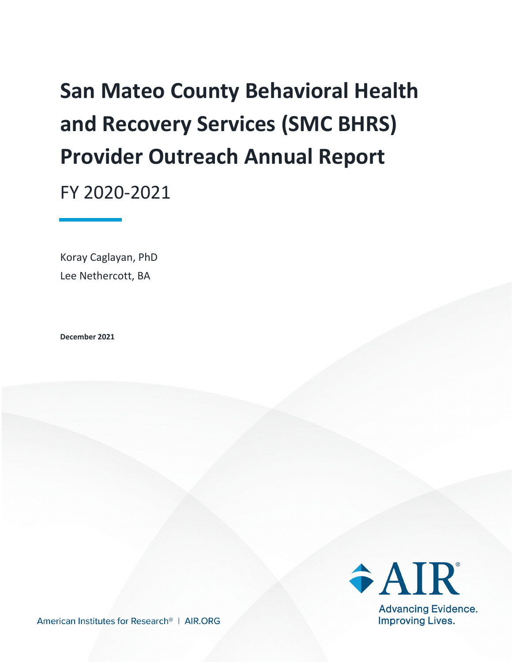# **San Mateo County Behavioral Health and Recovery Services (SMC BHRS) Provider Outreach Annual Report**

FY 2020-2021

Koray Caglayan, PhD Lee Nethercott, BA

**December 2021**



American Institutes for Research<sup>®</sup> | AIR.ORG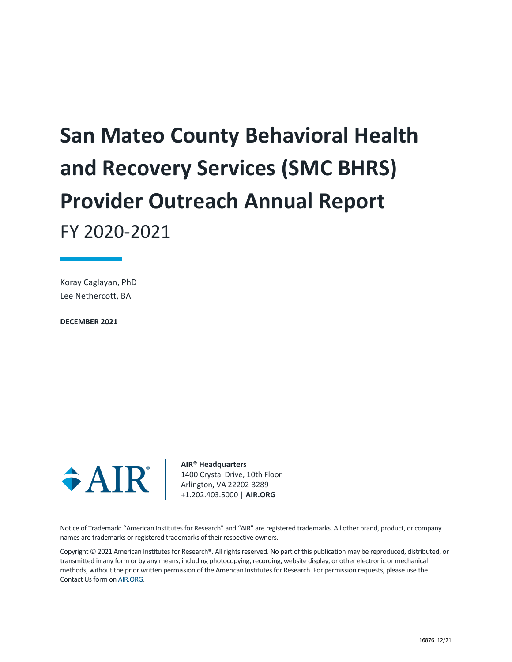# **San Mateo County Behavioral Health and Recovery Services (SMC BHRS) Provider Outreach Annual Report** FY 2020-2021

Koray Caglayan, PhD Lee Nethercott, BA

**DECEMBER 2021**



**AIR® Headquarters** 1400 Crystal Drive, 10th Floor Arlington, VA 22202-3289 +1.202.403.5000 | **AIR.ORG**

Notice of Trademark: "American Institutes for Research" and "AIR" are registered trademarks. All other brand, product, or company names are trademarks or registered trademarks of their respective owners.

Copyright © 2021 American Institutes for Research®. All rights reserved. No part of this publication may be reproduced, distributed, or transmitted in any form or by any means, including photocopying, recording, website display, or other electronic or mechanical methods, without the prior written permission of the American Institutes for Research. For permission requests, please use the Contact Us form o[n AIR.ORG.](http://www.air.org/)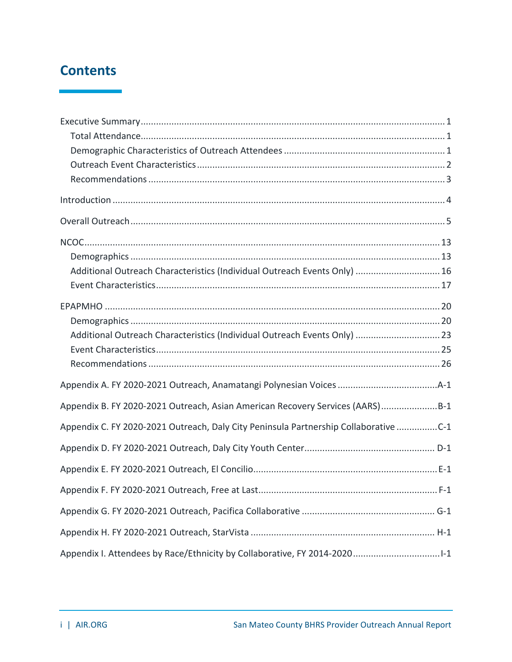### **Contents**

| Additional Outreach Characteristics (Individual Outreach Events Only)  16            |  |
|--------------------------------------------------------------------------------------|--|
|                                                                                      |  |
|                                                                                      |  |
|                                                                                      |  |
| Additional Outreach Characteristics (Individual Outreach Events Only)  23            |  |
|                                                                                      |  |
|                                                                                      |  |
|                                                                                      |  |
| Appendix B. FY 2020-2021 Outreach, Asian American Recovery Services (AARS)B-1        |  |
| Appendix C. FY 2020-2021 Outreach, Daly City Peninsula Partnership Collaborative C-1 |  |
|                                                                                      |  |
|                                                                                      |  |
|                                                                                      |  |
|                                                                                      |  |
|                                                                                      |  |
|                                                                                      |  |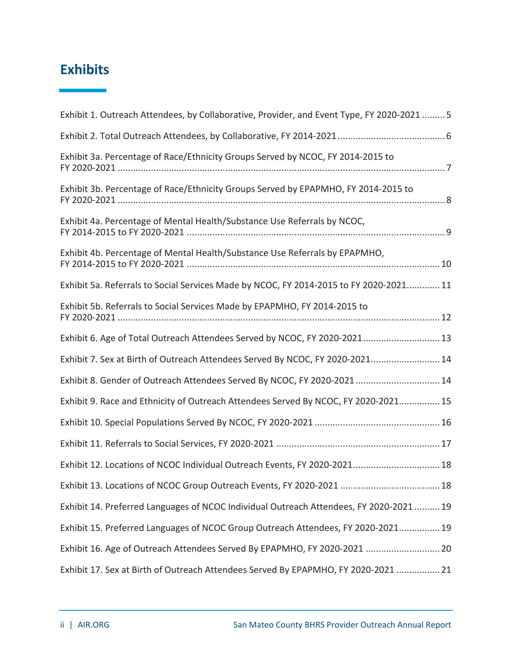### **Exhibits**

| Exhibit 1. Outreach Attendees, by Collaborative, Provider, and Event Type, FY 2020-2021  5 |
|--------------------------------------------------------------------------------------------|
|                                                                                            |
| Exhibit 3a. Percentage of Race/Ethnicity Groups Served by NCOC, FY 2014-2015 to            |
| Exhibit 3b. Percentage of Race/Ethnicity Groups Served by EPAPMHO, FY 2014-2015 to         |
| Exhibit 4a. Percentage of Mental Health/Substance Use Referrals by NCOC,                   |
| Exhibit 4b. Percentage of Mental Health/Substance Use Referrals by EPAPMHO,                |
| Exhibit 5a. Referrals to Social Services Made by NCOC, FY 2014-2015 to FY 2020-2021 11     |
| Exhibit 5b. Referrals to Social Services Made by EPAPMHO, FY 2014-2015 to                  |
| Exhibit 6. Age of Total Outreach Attendees Served by NCOC, FY 2020-2021 13                 |
| Exhibit 7. Sex at Birth of Outreach Attendees Served By NCOC, FY 2020-2021 14              |
| Exhibit 8. Gender of Outreach Attendees Served By NCOC, FY 2020-2021 14                    |
| Exhibit 9. Race and Ethnicity of Outreach Attendees Served By NCOC, FY 2020-2021 15        |
|                                                                                            |
|                                                                                            |
| Exhibit 12. Locations of NCOC Individual Outreach Events, FY 2020-2021 18                  |
| Exhibit 13. Locations of NCOC Group Outreach Events, FY 2020-2021  18                      |
| Exhibit 14. Preferred Languages of NCOC Individual Outreach Attendees, FY 2020-2021  19    |
| Exhibit 15. Preferred Languages of NCOC Group Outreach Attendees, FY 2020-2021 19          |
| Exhibit 16. Age of Outreach Attendees Served By EPAPMHO, FY 2020-2021  20                  |
| Exhibit 17. Sex at Birth of Outreach Attendees Served By EPAPMHO, FY 2020-2021  21         |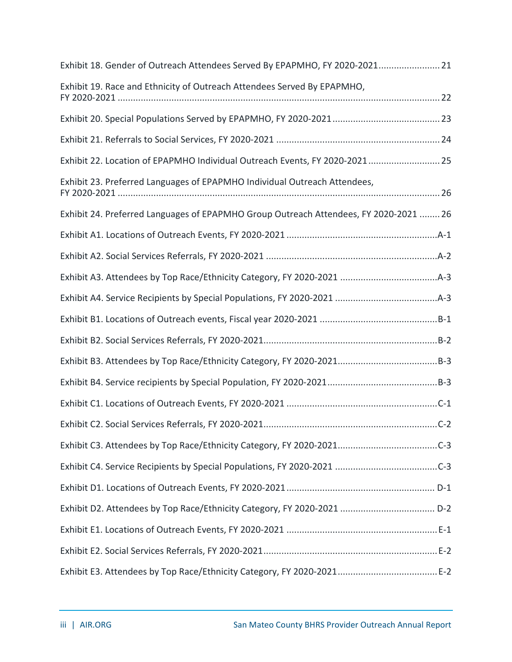| Exhibit 18. Gender of Outreach Attendees Served By EPAPMHO, FY 2020-2021 21           |
|---------------------------------------------------------------------------------------|
| Exhibit 19. Race and Ethnicity of Outreach Attendees Served By EPAPMHO,               |
|                                                                                       |
|                                                                                       |
| Exhibit 22. Location of EPAPMHO Individual Outreach Events, FY 2020-2021 25           |
| Exhibit 23. Preferred Languages of EPAPMHO Individual Outreach Attendees,             |
| Exhibit 24. Preferred Languages of EPAPMHO Group Outreach Attendees, FY 2020-2021  26 |
|                                                                                       |
|                                                                                       |
|                                                                                       |
|                                                                                       |
|                                                                                       |
|                                                                                       |
|                                                                                       |
|                                                                                       |
|                                                                                       |
|                                                                                       |
|                                                                                       |
|                                                                                       |
|                                                                                       |
|                                                                                       |
|                                                                                       |
|                                                                                       |
|                                                                                       |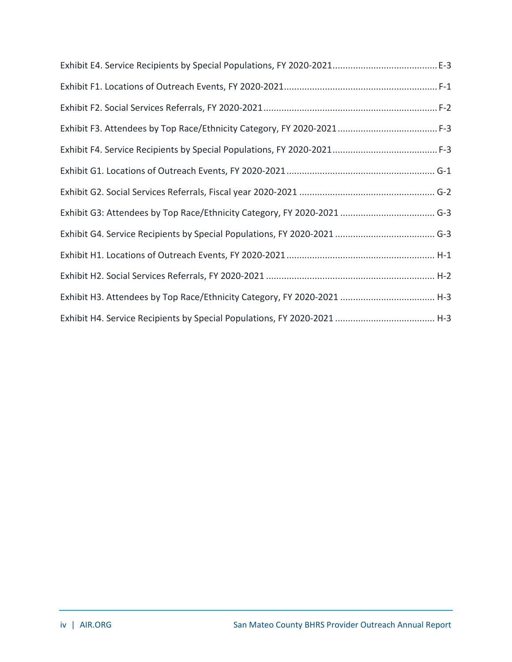| Exhibit H3. Attendees by Top Race/Ethnicity Category, FY 2020-2021  H-3 |
|-------------------------------------------------------------------------|
|                                                                         |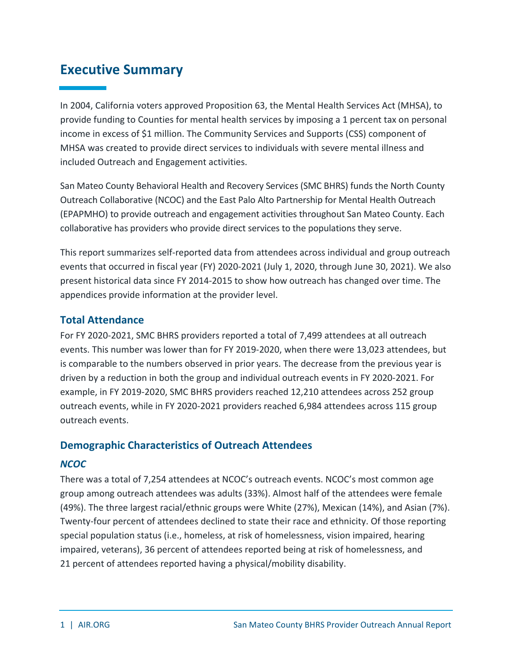### <span id="page-6-0"></span>**Executive Summary**

In 2004, California voters approved Proposition 63, the Mental Health Services Act (MHSA), to provide funding to Counties for mental health services by imposing a 1 percent tax on personal income in excess of \$1 million. The Community Services and Supports (CSS) component of MHSA was created to provide direct services to individuals with severe mental illness and included Outreach and Engagement activities.

San Mateo County Behavioral Health and Recovery Services (SMC BHRS) funds the North County Outreach Collaborative (NCOC) and the East Palo Alto Partnership for Mental Health Outreach (EPAPMHO) to provide outreach and engagement activities throughout San Mateo County. Each collaborative has providers who provide direct services to the populations they serve.

This report summarizes self-reported data from attendees across individual and group outreach events that occurred in fiscal year (FY) 2020-2021 (July 1, 2020, through June 30, 2021). We also present historical data since FY 2014-2015 to show how outreach has changed over time. The appendices provide information at the provider level.

### <span id="page-6-1"></span>**Total Attendance**

For FY 2020-2021, SMC BHRS providers reported a total of 7,499 attendees at all outreach events. This number was lower than for FY 2019-2020, when there were 13,023 attendees, but is comparable to the numbers observed in prior years. The decrease from the previous year is driven by a reduction in both the group and individual outreach events in FY 2020-2021. For example, in FY 2019-2020, SMC BHRS providers reached 12,210 attendees across 252 group outreach events, while in FY 2020-2021 providers reached 6,984 attendees across 115 group outreach events.

### <span id="page-6-2"></span>**Demographic Characteristics of Outreach Attendees**

### *NCOC*

There was a total of 7,254 attendees at NCOC's outreach events. NCOC's most common age group among outreach attendees was adults (33%). Almost half of the attendees were female (49%). The three largest racial/ethnic groups were White (27%), Mexican (14%), and Asian (7%). Twenty-four percent of attendees declined to state their race and ethnicity. Of those reporting special population status (i.e., homeless, at risk of homelessness, vision impaired, hearing impaired, veterans), 36 percent of attendees reported being at risk of homelessness, and 21 percent of attendees reported having a physical/mobility disability.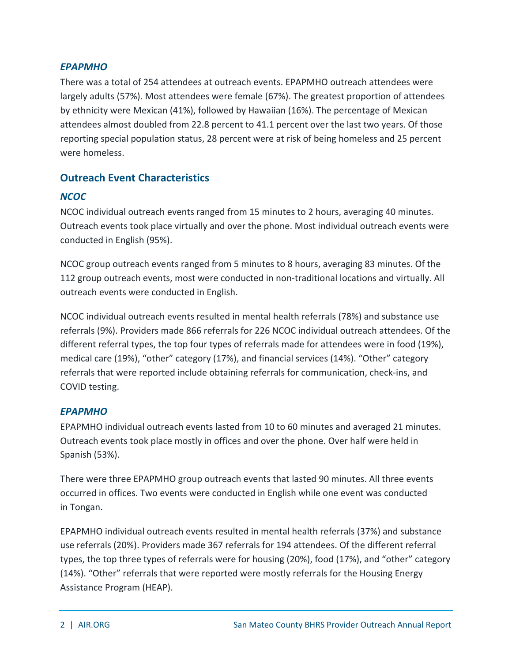### *EPAPMHO*

There was a total of 254 attendees at outreach events. EPAPMHO outreach attendees were largely adults (57%). Most attendees were female (67%). The greatest proportion of attendees by ethnicity were Mexican (41%), followed by Hawaiian (16%). The percentage of Mexican attendees almost doubled from 22.8 percent to 41.1 percent over the last two years. Of those reporting special population status, 28 percent were at risk of being homeless and 25 percent were homeless.

### <span id="page-7-0"></span>**Outreach Event Characteristics**

### *NCOC*

NCOC individual outreach events ranged from 15 minutes to 2 hours, averaging 40 minutes. Outreach events took place virtually and over the phone. Most individual outreach events were conducted in English (95%).

NCOC group outreach events ranged from 5 minutes to 8 hours, averaging 83 minutes. Of the 112 group outreach events, most were conducted in non-traditional locations and virtually. All outreach events were conducted in English.

NCOC individual outreach events resulted in mental health referrals (78%) and substance use referrals (9%). Providers made 866 referrals for 226 NCOC individual outreach attendees. Of the different referral types, the top four types of referrals made for attendees were in food (19%), medical care (19%), "other" category (17%), and financial services (14%). "Other" category referrals that were reported include obtaining referrals for communication, check-ins, and COVID testing.

### *EPAPMHO*

EPAPMHO individual outreach events lasted from 10 to 60 minutes and averaged 21 minutes. Outreach events took place mostly in offices and over the phone. Over half were held in Spanish (53%).

There were three EPAPMHO group outreach events that lasted 90 minutes. All three events occurred in offices. Two events were conducted in English while one event was conducted in Tongan.

EPAPMHO individual outreach events resulted in mental health referrals (37%) and substance use referrals (20%). Providers made 367 referrals for 194 attendees. Of the different referral types, the top three types of referrals were for housing (20%), food (17%), and "other" category (14%). "Other" referrals that were reported were mostly referrals for the Housing Energy Assistance Program (HEAP).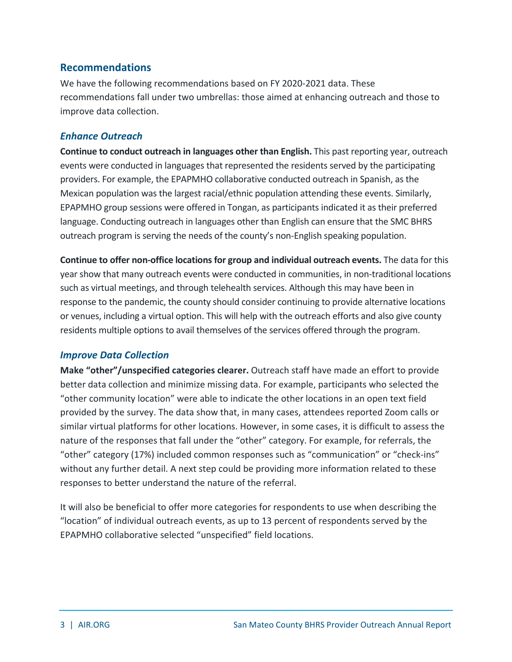### <span id="page-8-0"></span>**Recommendations**

We have the following recommendations based on FY 2020-2021 data. These recommendations fall under two umbrellas: those aimed at enhancing outreach and those to improve data collection.

### *Enhance Outreach*

**Continue to conduct outreach in languages other than English.** This past reporting year, outreach events were conducted in languages that represented the residents served by the participating providers. For example, the EPAPMHO collaborative conducted outreach in Spanish, as the Mexican population was the largest racial/ethnic population attending these events. Similarly, EPAPMHO group sessions were offered in Tongan, as participants indicated it as their preferred language. Conducting outreach in languages other than English can ensure that the SMC BHRS outreach program is serving the needs of the county's non-English speaking population.

**Continue to offer non-office locations for group and individual outreach events.** The data for this year show that many outreach events were conducted in communities, in non-traditional locations such as virtual meetings, and through telehealth services. Although this may have been in response to the pandemic, the county should consider continuing to provide alternative locations or venues, including a virtual option. This will help with the outreach efforts and also give county residents multiple options to avail themselves of the services offered through the program.

### *Improve Data Collection*

**Make "other"/unspecified categories clearer.** Outreach staff have made an effort to provide better data collection and minimize missing data. For example, participants who selected the "other community location" were able to indicate the other locations in an open text field provided by the survey. The data show that, in many cases, attendees reported Zoom calls or similar virtual platforms for other locations. However, in some cases, it is difficult to assess the nature of the responses that fall under the "other" category. For example, for referrals, the "other" category (17%) included common responses such as "communication" or "check-ins" without any further detail. A next step could be providing more information related to these responses to better understand the nature of the referral.

It will also be beneficial to offer more categories for respondents to use when describing the "location" of individual outreach events, as up to 13 percent of respondents served by the EPAPMHO collaborative selected "unspecified" field locations.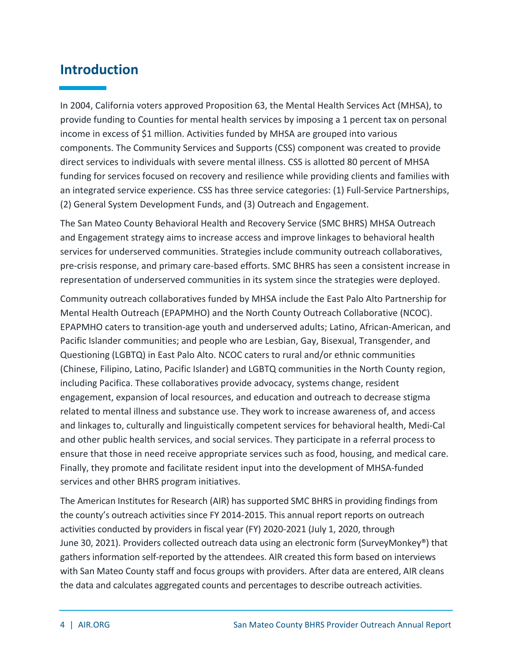### <span id="page-9-0"></span>**Introduction**

In 2004, California voters approved Proposition 63, the Mental Health Services Act (MHSA), to provide funding to Counties for mental health services by imposing a 1 percent tax on personal income in excess of \$1 million. Activities funded by MHSA are grouped into various components. The Community Services and Supports (CSS) component was created to provide direct services to individuals with severe mental illness. CSS is allotted 80 percent of MHSA funding for services focused on recovery and resilience while providing clients and families with an integrated service experience. CSS has three service categories: (1) Full-Service Partnerships, (2) General System Development Funds, and (3) Outreach and Engagement.

The San Mateo County Behavioral Health and Recovery Service (SMC BHRS) MHSA Outreach and Engagement strategy aims to increase access and improve linkages to behavioral health services for underserved communities. Strategies include community outreach collaboratives, pre-crisis response, and primary care-based efforts. SMC BHRS has seen a consistent increase in representation of underserved communities in its system since the strategies were deployed.

Community outreach collaboratives funded by MHSA include the East Palo Alto Partnership for Mental Health Outreach (EPAPMHO) and the North County Outreach Collaborative (NCOC). EPAPMHO caters to transition-age youth and underserved adults; Latino, African-American, and Pacific Islander communities; and people who are Lesbian, Gay, Bisexual, Transgender, and Questioning (LGBTQ) in East Palo Alto. NCOC caters to rural and/or ethnic communities (Chinese, Filipino, Latino, Pacific Islander) and LGBTQ communities in the North County region, including Pacifica. These collaboratives provide advocacy, systems change, resident engagement, expansion of local resources, and education and outreach to decrease stigma related to mental illness and substance use. They work to increase awareness of, and access and linkages to, culturally and linguistically competent services for behavioral health, Medi-Cal and other public health services, and social services. They participate in a referral process to ensure that those in need receive appropriate services such as food, housing, and medical care. Finally, they promote and facilitate resident input into the development of MHSA-funded services and other BHRS program initiatives.

The American Institutes for Research (AIR) has supported SMC BHRS in providing findings from the county's outreach activities since FY 2014-2015. This annual report reports on outreach activities conducted by providers in fiscal year (FY) 2020-2021 (July 1, 2020, through June 30, 2021). Providers collected outreach data using an electronic form (SurveyMonkey®) that gathers information self-reported by the attendees. AIR created this form based on interviews with San Mateo County staff and focus groups with providers. After data are entered, AIR cleans the data and calculates aggregated counts and percentages to describe outreach activities.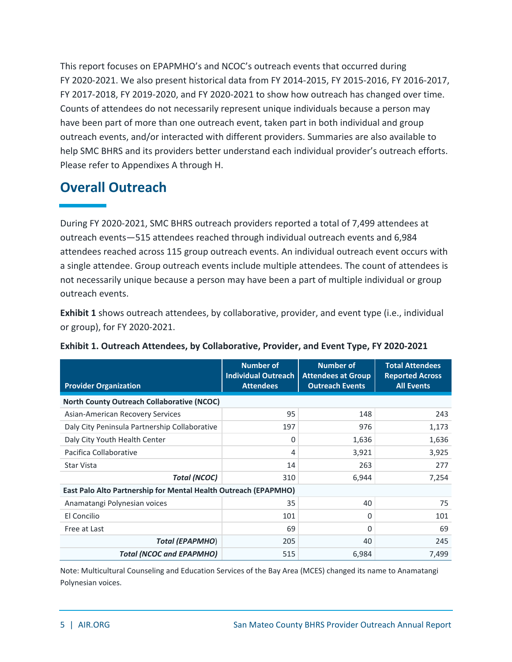This report focuses on EPAPMHO's and NCOC's outreach events that occurred during FY 2020-2021. We also present historical data from FY 2014-2015, FY 2015-2016, FY 2016-2017, FY 2017-2018, FY 2019-2020, and FY 2020-2021 to show how outreach has changed over time. Counts of attendees do not necessarily represent unique individuals because a person may have been part of more than one outreach event, taken part in both individual and group outreach events, and/or interacted with different providers. Summaries are also available to help SMC BHRS and its providers better understand each individual provider's outreach efforts. Please refer to Appendixes A through H.

### <span id="page-10-0"></span>**Overall Outreach**

During FY 2020-2021, SMC BHRS outreach providers reported a total of 7,499 attendees at outreach events—515 attendees reached through individual outreach events and 6,984 attendees reached across 115 group outreach events. An individual outreach event occurs with a single attendee. Group outreach events include multiple attendees. The count of attendees is not necessarily unique because a person may have been a part of multiple individual or group outreach events.

**Exhibit 1** shows outreach attendees, by collaborative, provider, and event type (i.e., individual or group), for FY 2020-2021.

| <b>Provider Organization</b>                                    | <b>Number of</b><br><b>Individual Outreach</b><br><b>Attendees</b> | <b>Number of</b><br><b>Attendees at Group</b><br><b>Outreach Events</b> | <b>Total Attendees</b><br><b>Reported Across</b><br><b>All Events</b> |  |  |  |  |  |  |  |
|-----------------------------------------------------------------|--------------------------------------------------------------------|-------------------------------------------------------------------------|-----------------------------------------------------------------------|--|--|--|--|--|--|--|
| <b>North County Outreach Collaborative (NCOC)</b>               |                                                                    |                                                                         |                                                                       |  |  |  |  |  |  |  |
| Asian-American Recovery Services                                | 95                                                                 | 148                                                                     | 243                                                                   |  |  |  |  |  |  |  |
| Daly City Peninsula Partnership Collaborative                   | 197                                                                | 976                                                                     | 1,173                                                                 |  |  |  |  |  |  |  |
| Daly City Youth Health Center                                   | 0                                                                  | 1,636                                                                   | 1,636                                                                 |  |  |  |  |  |  |  |
| Pacifica Collaborative                                          | 4                                                                  | 3,921                                                                   | 3,925                                                                 |  |  |  |  |  |  |  |
| Star Vista                                                      | 14                                                                 | 263                                                                     | 277                                                                   |  |  |  |  |  |  |  |
| <b>Total (NCOC)</b>                                             | 310                                                                | 6,944                                                                   | 7,254                                                                 |  |  |  |  |  |  |  |
| East Palo Alto Partnership for Mental Health Outreach (EPAPMHO) |                                                                    |                                                                         |                                                                       |  |  |  |  |  |  |  |
| Anamatangi Polynesian voices                                    | 35                                                                 | 40                                                                      | 75                                                                    |  |  |  |  |  |  |  |
| El Concilio                                                     | 101                                                                | 0                                                                       | 101                                                                   |  |  |  |  |  |  |  |
| Free at Last                                                    | 69                                                                 | 0                                                                       | 69                                                                    |  |  |  |  |  |  |  |
| <b>Total (EPAPMHO)</b>                                          | 205                                                                | 40                                                                      | 245                                                                   |  |  |  |  |  |  |  |
| <b>Total (NCOC and EPAPMHO)</b>                                 | 515                                                                | 6,984                                                                   | 7,499                                                                 |  |  |  |  |  |  |  |

<span id="page-10-1"></span>

|  | Exhibit 1. Outreach Attendees, by Collaborative, Provider, and Event Type, FY 2020-2021 |  |
|--|-----------------------------------------------------------------------------------------|--|
|  |                                                                                         |  |

Note: Multicultural Counseling and Education Services of the Bay Area (MCES) changed its name to Anamatangi Polynesian voices.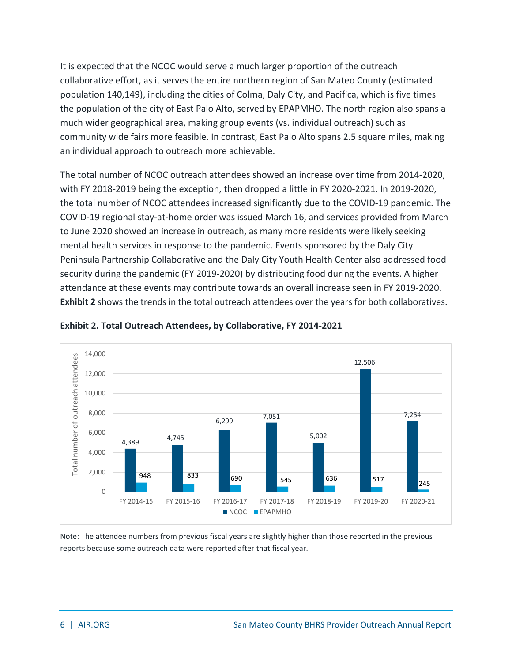It is expected that the NCOC would serve a much larger proportion of the outreach collaborative effort, as it serves the entire northern region of San Mateo County (estimated population 140,149), including the cities of Colma, Daly City, and Pacifica, which is five times the population of the city of East Palo Alto, served by EPAPMHO. The north region also spans a much wider geographical area, making group events (vs. individual outreach) such as community wide fairs more feasible. In contrast, East Palo Alto spans 2.5 square miles, making an individual approach to outreach more achievable.

The total number of NCOC outreach attendees showed an increase over time from 2014-2020, with FY 2018-2019 being the exception, then dropped a little in FY 2020-2021. In 2019-2020, the total number of NCOC attendees increased significantly due to the COVID-19 pandemic. The COVID-19 regional stay-at-home order was issued March 16, and services provided from March to June 2020 showed an increase in outreach, as many more residents were likely seeking mental health services in response to the pandemic. Events sponsored by the Daly City Peninsula Partnership Collaborative and the Daly City Youth Health Center also addressed food security during the pandemic (FY 2019-2020) by distributing food during the events. A higher attendance at these events may contribute towards an overall increase seen in FY 2019-2020. **Exhibit 2** shows the trends in the total outreach attendees over the years for both collaboratives.



<span id="page-11-0"></span>

Note: The attendee numbers from previous fiscal years are slightly higher than those reported in the previous reports because some outreach data were reported after that fiscal year.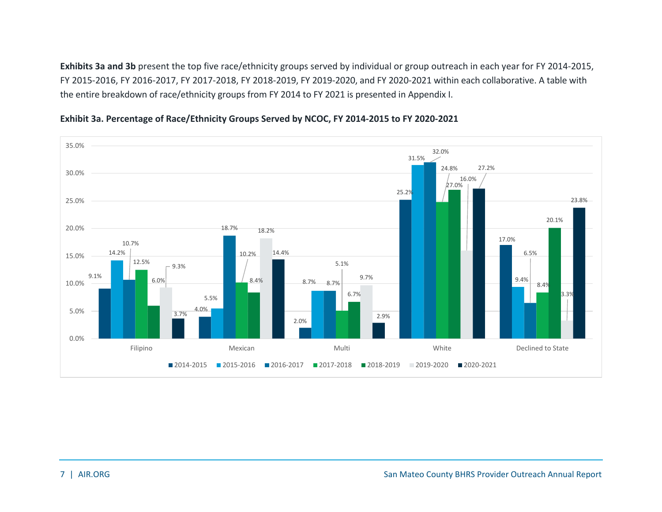**Exhibits 3a and 3b** present the top five race/ethnicity groups served by individual or group outreach in each year for FY 2014-2015, FY 2015-2016, FY 2016-2017, FY 2017-2018, FY 2018-2019, FY 2019-2020, and FY 2020-2021 within each collaborative. A table with the entire breakdown of race/ethnicity groups from FY 2014 to FY 2021 is presented in Appendix I.

<span id="page-12-0"></span>

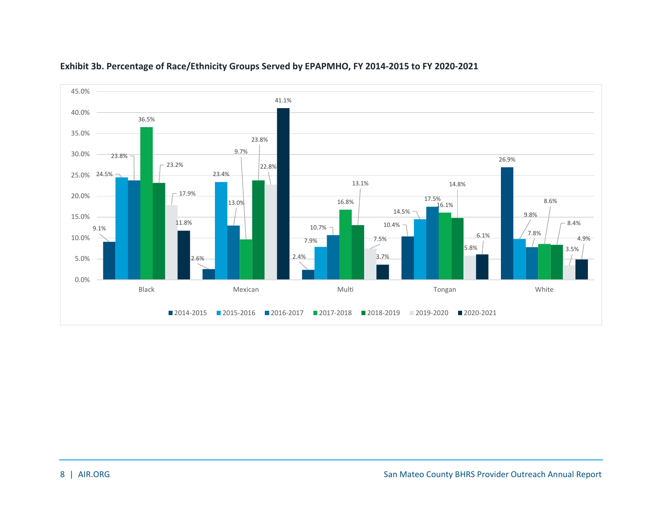<span id="page-13-0"></span>

### **Exhibit 3b. Percentage of Race/Ethnicity Groups Served by EPAPMHO, FY 2014-2015 to FY 2020-2021**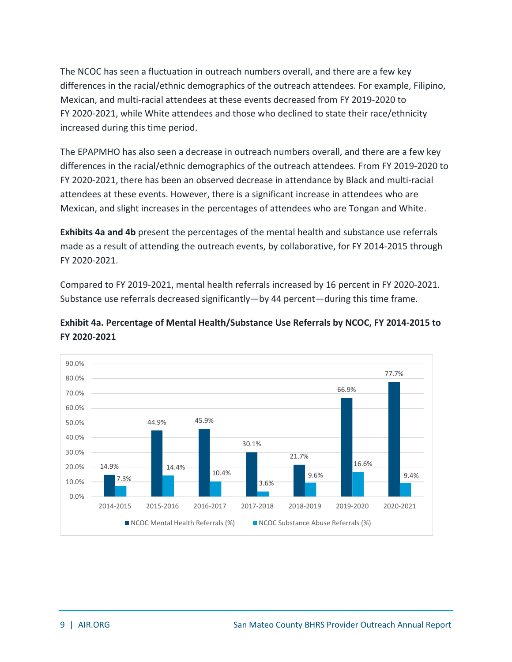The NCOC has seen a fluctuation in outreach numbers overall, and there are a few key differences in the racial/ethnic demographics of the outreach attendees. For example, Filipino, Mexican, and multi-racial attendees at these events decreased from FY 2019-2020 to FY 2020-2021, while White attendees and those who declined to state their race/ethnicity increased during this time period.

The EPAPMHO has also seen a decrease in outreach numbers overall, and there are a few key differences in the racial/ethnic demographics of the outreach attendees. From FY 2019-2020 to FY 2020-2021, there has been an observed decrease in attendance by Black and multi-racial attendees at these events. However, there is a significant increase in attendees who are Mexican, and slight increases in the percentages of attendees who are Tongan and White.

**Exhibits 4a and 4b** present the percentages of the mental health and substance use referrals made as a result of attending the outreach events, by collaborative, for FY 2014-2015 through FY 2020-2021.

Compared to FY 2019-2021, mental health referrals increased by 16 percent in FY 2020-2021. Substance use referrals decreased significantly—by 44 percent—during this time frame.



### <span id="page-14-0"></span>**Exhibit 4a. Percentage of Mental Health/Substance Use Referrals by NCOC, FY 2014-2015 to FY 2020-2021**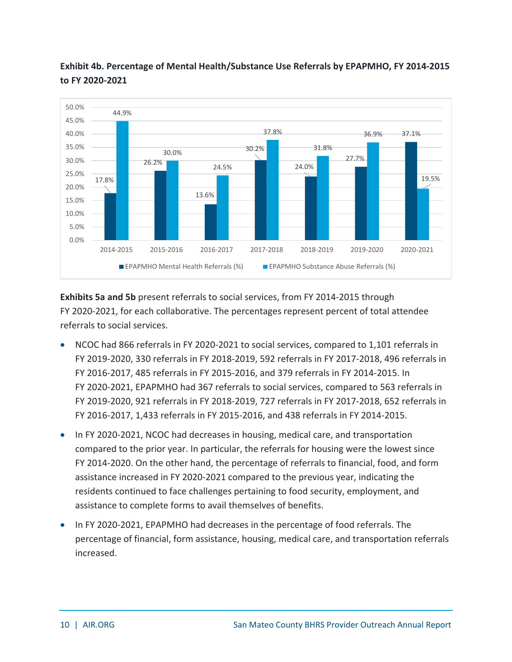

<span id="page-15-0"></span>**Exhibit 4b. Percentage of Mental Health/Substance Use Referrals by EPAPMHO, FY 2014-2015 to FY 2020-2021**

**Exhibits 5a and 5b** present referrals to social services, from FY 2014-2015 through FY 2020-2021, for each collaborative. The percentages represent percent of total attendee referrals to social services.

- NCOC had 866 referrals in FY 2020-2021 to social services, compared to 1,101 referrals in FY 2019-2020, 330 referrals in FY 2018-2019, 592 referrals in FY 2017-2018, 496 referrals in FY 2016-2017, 485 referrals in FY 2015-2016, and 379 referrals in FY 2014-2015. In FY 2020-2021, EPAPMHO had 367 referrals to social services, compared to 563 referrals in FY 2019-2020, 921 referrals in FY 2018-2019, 727 referrals in FY 2017-2018, 652 referrals in FY 2016-2017, 1,433 referrals in FY 2015-2016, and 438 referrals in FY 2014-2015.
- In FY 2020-2021, NCOC had decreases in housing, medical care, and transportation compared to the prior year. In particular, the referrals for housing were the lowest since FY 2014-2020. On the other hand, the percentage of referrals to financial, food, and form assistance increased in FY 2020-2021 compared to the previous year, indicating the residents continued to face challenges pertaining to food security, employment, and assistance to complete forms to avail themselves of benefits.
- In FY 2020-2021, EPAPMHO had decreases in the percentage of food referrals. The percentage of financial, form assistance, housing, medical care, and transportation referrals increased.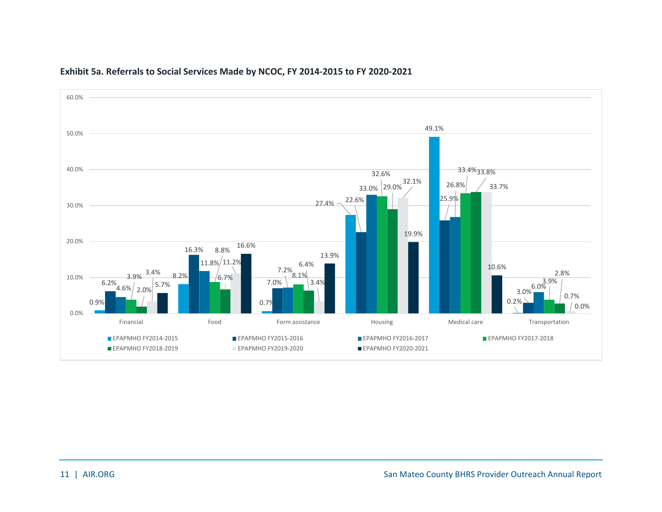<span id="page-16-0"></span>

#### **Exhibit 5a. Referrals to Social Services Made by NCOC, FY 2014-2015 to FY 2020-2021**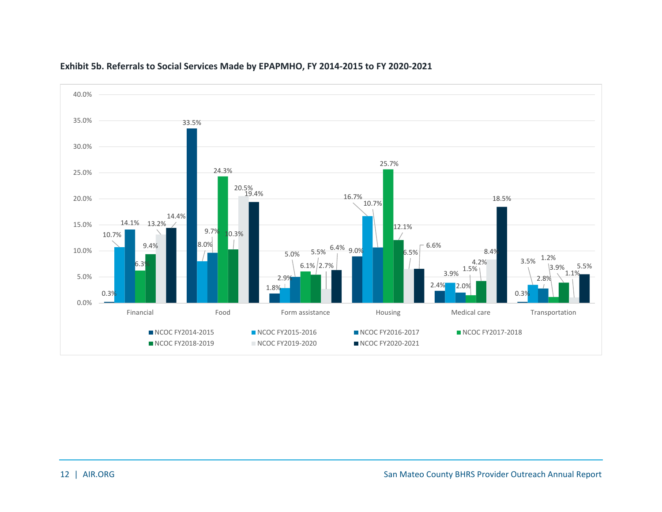<span id="page-17-0"></span>

### **Exhibit 5b. Referrals to Social Services Made by EPAPMHO, FY 2014-2015 to FY 2020-2021**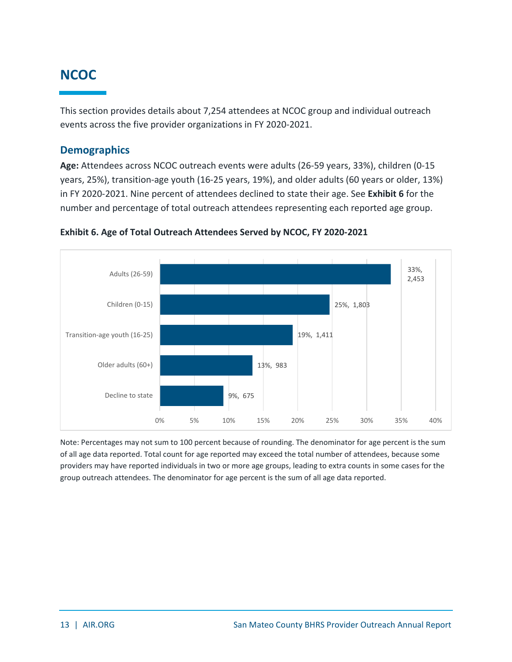### <span id="page-18-0"></span>**NCOC**

This section provides details about 7,254 attendees at NCOC group and individual outreach events across the five provider organizations in FY 2020-2021.

### <span id="page-18-1"></span>**Demographics**

**Age:** Attendees across NCOC outreach events were adults (26-59 years, 33%), children (0-15 years, 25%), transition-age youth (16-25 years, 19%), and older adults (60 years or older, 13%) in FY 2020-2021. Nine percent of attendees declined to state their age. See **Exhibit 6** for the number and percentage of total outreach attendees representing each reported age group.



<span id="page-18-2"></span>**Exhibit 6. Age of Total Outreach Attendees Served by NCOC, FY 2020-2021**

Note: Percentages may not sum to 100 percent because of rounding. The denominator for age percent is the sum of all age data reported. Total count for age reported may exceed the total number of attendees, because some providers may have reported individuals in two or more age groups, leading to extra counts in some cases for the group outreach attendees. The denominator for age percent is the sum of all age data reported.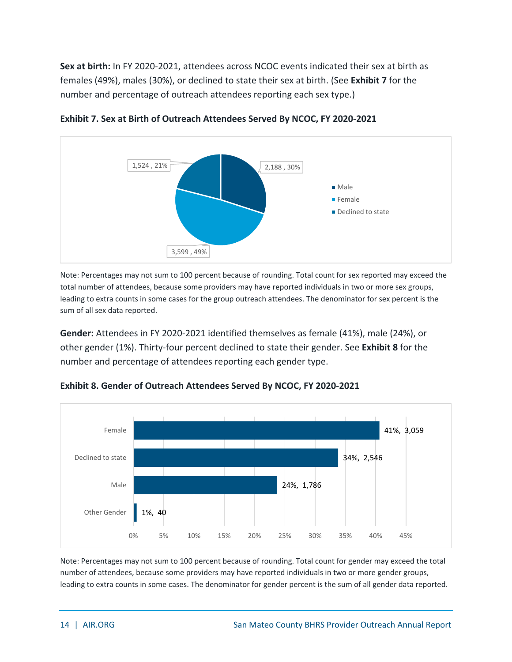**Sex at birth:** In FY 2020-2021, attendees across NCOC events indicated their sex at birth as females (49%), males (30%), or declined to state their sex at birth. (See **Exhibit 7** for the number and percentage of outreach attendees reporting each sex type.)



<span id="page-19-0"></span>

Note: Percentages may not sum to 100 percent because of rounding. Total count for sex reported may exceed the total number of attendees, because some providers may have reported individuals in two or more sex groups, leading to extra counts in some cases for the group outreach attendees. The denominator for sex percent is the sum of all sex data reported.

**Gender:** Attendees in FY 2020-2021 identified themselves as female (41%), male (24%), or other gender (1%). Thirty-four percent declined to state their gender. See **Exhibit 8** for the number and percentage of attendees reporting each gender type.



<span id="page-19-1"></span>**Exhibit 8. Gender of Outreach Attendees Served By NCOC, FY 2020-2021**

Note: Percentages may not sum to 100 percent because of rounding. Total count for gender may exceed the total number of attendees, because some providers may have reported individuals in two or more gender groups, leading to extra counts in some cases. The denominator for gender percent is the sum of all gender data reported.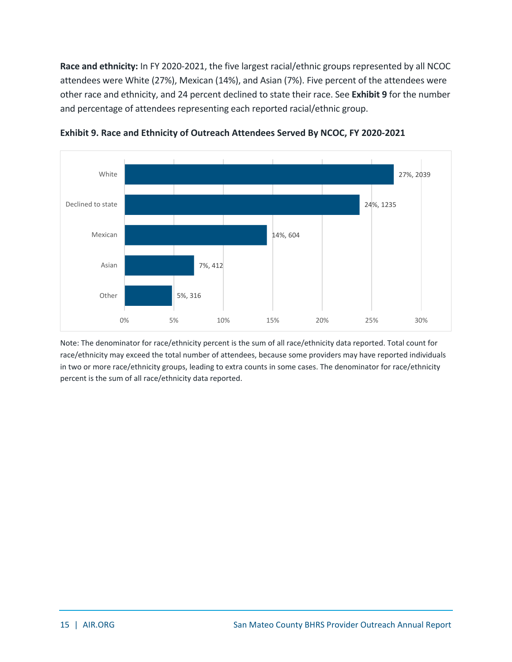**Race and ethnicity:** In FY 2020-2021, the five largest racial/ethnic groups represented by all NCOC attendees were White (27%), Mexican (14%), and Asian (7%). Five percent of the attendees were other race and ethnicity, and 24 percent declined to state their race. See **Exhibit 9** for the number and percentage of attendees representing each reported racial/ethnic group.



<span id="page-20-0"></span>

Note: The denominator for race/ethnicity percent is the sum of all race/ethnicity data reported. Total count for race/ethnicity may exceed the total number of attendees, because some providers may have reported individuals in two or more race/ethnicity groups, leading to extra counts in some cases. The denominator for race/ethnicity percent is the sum of all race/ethnicity data reported.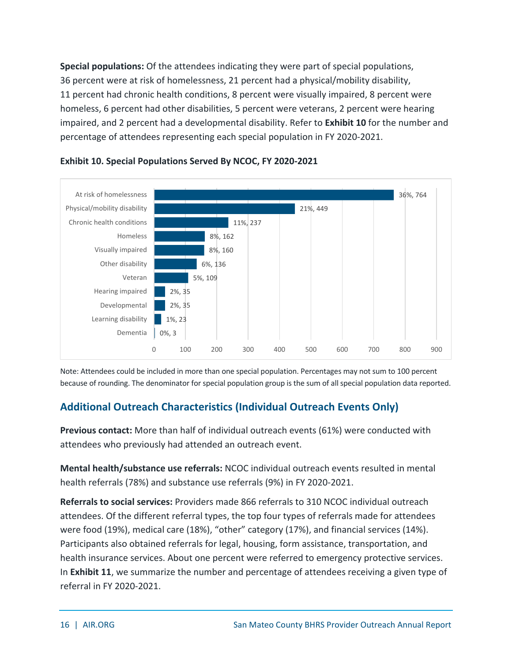**Special populations:** Of the attendees indicating they were part of special populations, 36 percent were at risk of homelessness, 21 percent had a physical/mobility disability, 11 percent had chronic health conditions, 8 percent were visually impaired, 8 percent were homeless, 6 percent had other disabilities, 5 percent were veterans, 2 percent were hearing impaired, and 2 percent had a developmental disability. Refer to **Exhibit 10** for the number and percentage of attendees representing each special population in FY 2020-2021.



### <span id="page-21-1"></span>**Exhibit 10. Special Populations Served By NCOC, FY 2020-2021**

Note: Attendees could be included in more than one special population. Percentages may not sum to 100 percent because of rounding. The denominator for special population group is the sum of all special population data reported.

### <span id="page-21-0"></span>**Additional Outreach Characteristics (Individual Outreach Events Only)**

**Previous contact:** More than half of individual outreach events (61%) were conducted with attendees who previously had attended an outreach event.

**Mental health/substance use referrals:** NCOC individual outreach events resulted in mental health referrals (78%) and substance use referrals (9%) in FY 2020-2021.

**Referrals to social services:** Providers made 866 referrals to 310 NCOC individual outreach attendees. Of the different referral types, the top four types of referrals made for attendees were food (19%), medical care (18%), "other" category (17%), and financial services (14%). Participants also obtained referrals for legal, housing, form assistance, transportation, and health insurance services. About one percent were referred to emergency protective services. In **Exhibit 11**, we summarize the number and percentage of attendees receiving a given type of referral in FY 2020-2021.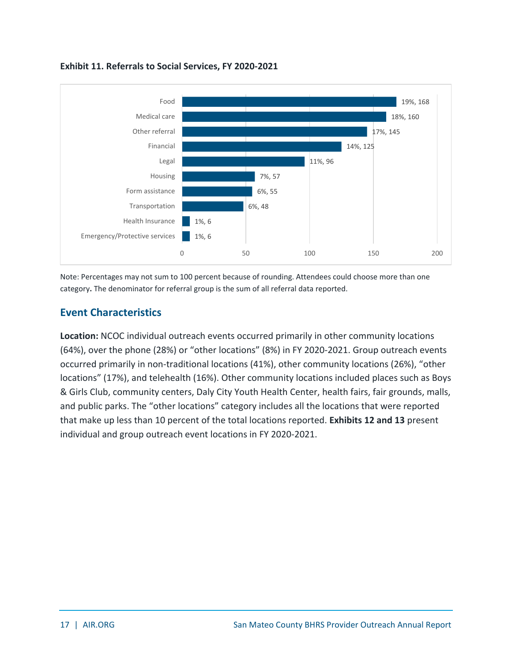

#### <span id="page-22-1"></span>**Exhibit 11. Referrals to Social Services, FY 2020-2021**

Note: Percentages may not sum to 100 percent because of rounding. Attendees could choose more than one category**.** The denominator for referral group is the sum of all referral data reported.

### <span id="page-22-0"></span>**Event Characteristics**

**Location:** NCOC individual outreach events occurred primarily in other community locations (64%), over the phone (28%) or "other locations" (8%) in FY 2020-2021. Group outreach events occurred primarily in non-traditional locations (41%), other community locations (26%), "other locations" (17%), and telehealth (16%). Other community locations included places such as Boys & Girls Club, community centers, Daly City Youth Health Center, health fairs, fair grounds, malls, and public parks. The "other locations" category includes all the locations that were reported that make up less than 10 percent of the total locations reported. **Exhibits 12 and 13** present individual and group outreach event locations in FY 2020-2021.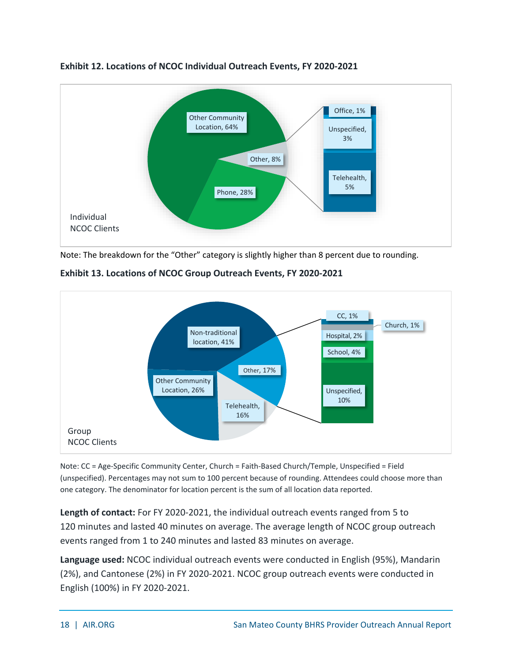

#### <span id="page-23-0"></span>**Exhibit 12. Locations of NCOC Individual Outreach Events, FY 2020-2021**

Note: The breakdown for the "Other" category is slightly higher than 8 percent due to rounding.



<span id="page-23-1"></span>**Exhibit 13. Locations of NCOC Group Outreach Events, FY 2020-2021**

Note: CC = Age-Specific Community Center, Church = Faith-Based Church/Temple, Unspecified = Field (unspecified). Percentages may not sum to 100 percent because of rounding. Attendees could choose more than one category. The denominator for location percent is the sum of all location data reported.

**Length of contact:** For FY 2020-2021, the individual outreach events ranged from 5 to 120 minutes and lasted 40 minutes on average. The average length of NCOC group outreach events ranged from 1 to 240 minutes and lasted 83 minutes on average.

**Language used:** NCOC individual outreach events were conducted in English (95%), Mandarin (2%), and Cantonese (2%) in FY 2020-2021. NCOC group outreach events were conducted in English (100%) in FY 2020-2021.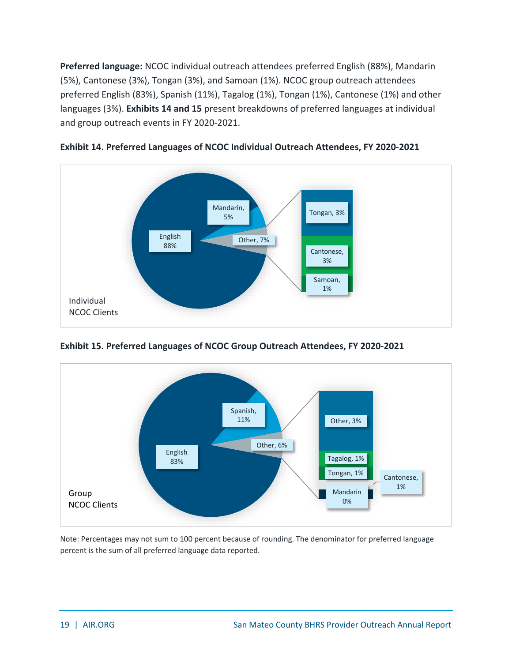**Preferred language:** NCOC individual outreach attendees preferred English (88%), Mandarin (5%), Cantonese (3%), Tongan (3%), and Samoan (1%). NCOC group outreach attendees preferred English (83%), Spanish (11%), Tagalog (1%), Tongan (1%), Cantonese (1%) and other languages (3%). **Exhibits 14 and 15** present breakdowns of preferred languages at individual and group outreach events in FY 2020-2021.



<span id="page-24-0"></span>

<span id="page-24-1"></span>**Exhibit 15. Preferred Languages of NCOC Group Outreach Attendees, FY 2020-2021**



Note: Percentages may not sum to 100 percent because of rounding. The denominator for preferred language percent is the sum of all preferred language data reported.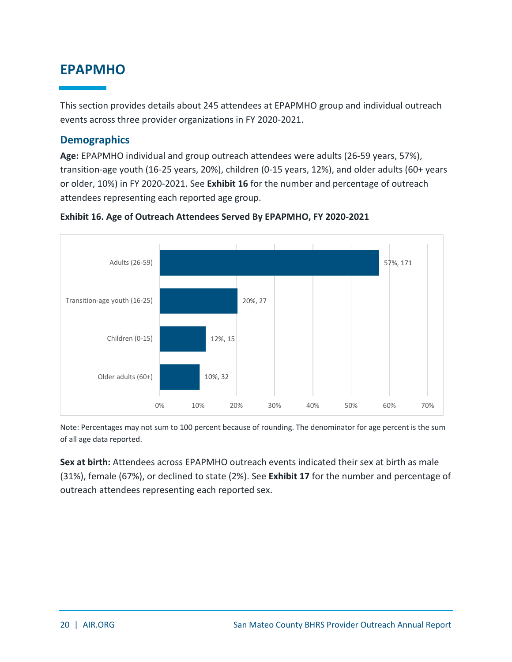### <span id="page-25-0"></span>**EPAPMHO**

This section provides details about 245 attendees at EPAPMHO group and individual outreach events across three provider organizations in FY 2020-2021.

### <span id="page-25-1"></span>**Demographics**

**Age:** EPAPMHO individual and group outreach attendees were adults (26-59 years, 57%), transition-age youth (16-25 years, 20%), children (0-15 years, 12%), and older adults (60+ years or older, 10%) in FY 2020-2021. See **Exhibit 16** for the number and percentage of outreach attendees representing each reported age group.



### <span id="page-25-2"></span>**Exhibit 16. Age of Outreach Attendees Served By EPAPMHO, FY 2020-2021**

Note: Percentages may not sum to 100 percent because of rounding. The denominator for age percent is the sum of all age data reported.

**Sex at birth:** Attendees across EPAPMHO outreach events indicated their sex at birth as male (31%), female (67%), or declined to state (2%). See **Exhibit 17** for the number and percentage of outreach attendees representing each reported sex.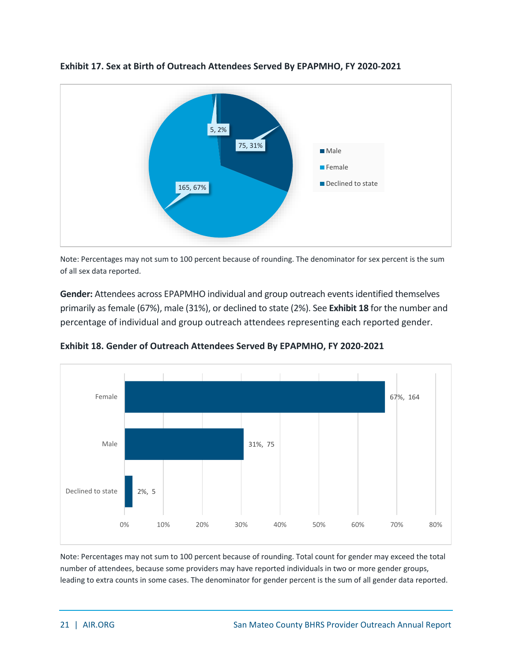

<span id="page-26-0"></span>**Exhibit 17. Sex at Birth of Outreach Attendees Served By EPAPMHO, FY 2020-2021**

Note: Percentages may not sum to 100 percent because of rounding. The denominator for sex percent is the sum of all sex data reported.

**Gender:** Attendees across EPAPMHO individual and group outreach events identified themselves primarily as female (67%), male (31%), or declined to state (2%). See **Exhibit 18** for the number and percentage of individual and group outreach attendees representing each reported gender.

<span id="page-26-1"></span>**Exhibit 18. Gender of Outreach Attendees Served By EPAPMHO, FY 2020-2021**

![](_page_26_Figure_5.jpeg)

Note: Percentages may not sum to 100 percent because of rounding. Total count for gender may exceed the total number of attendees, because some providers may have reported individuals in two or more gender groups, leading to extra counts in some cases. The denominator for gender percent is the sum of all gender data reported.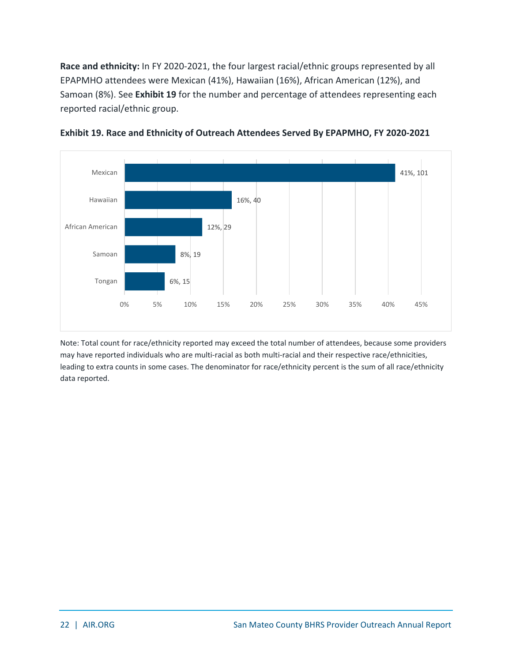**Race and ethnicity:** In FY 2020-2021, the four largest racial/ethnic groups represented by all EPAPMHO attendees were Mexican (41%), Hawaiian (16%), African American (12%), and Samoan (8%). See **Exhibit 19** for the number and percentage of attendees representing each reported racial/ethnic group.

![](_page_27_Figure_1.jpeg)

<span id="page-27-0"></span>![](_page_27_Figure_2.jpeg)

Note: Total count for race/ethnicity reported may exceed the total number of attendees, because some providers may have reported individuals who are multi-racial as both multi-racial and their respective race/ethnicities, leading to extra counts in some cases. The denominator for race/ethnicity percent is the sum of all race/ethnicity data reported.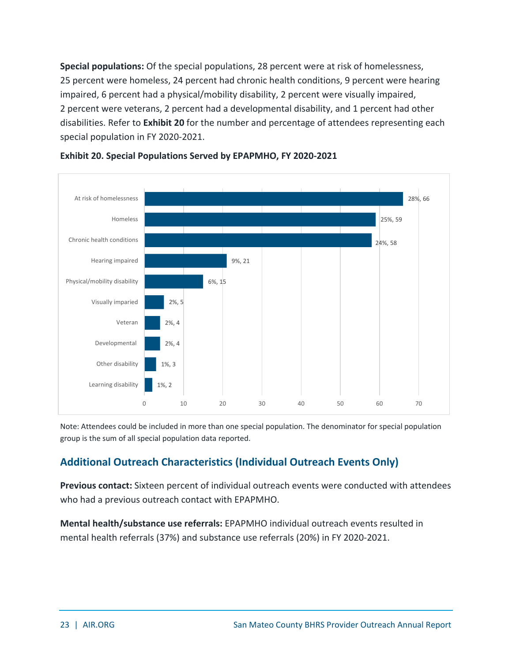**Special populations:** Of the special populations, 28 percent were at risk of homelessness, 25 percent were homeless, 24 percent had chronic health conditions, 9 percent were hearing impaired, 6 percent had a physical/mobility disability, 2 percent were visually impaired, 2 percent were veterans, 2 percent had a developmental disability, and 1 percent had other disabilities. Refer to **Exhibit 20** for the number and percentage of attendees representing each special population in FY 2020-2021.

![](_page_28_Figure_1.jpeg)

<span id="page-28-1"></span>![](_page_28_Figure_2.jpeg)

Note: Attendees could be included in more than one special population. The denominator for special population group is the sum of all special population data reported.

### <span id="page-28-0"></span>**Additional Outreach Characteristics (Individual Outreach Events Only)**

**Previous contact:** Sixteen percent of individual outreach events were conducted with attendees who had a previous outreach contact with EPAPMHO.

**Mental health/substance use referrals:** EPAPMHO individual outreach events resulted in mental health referrals (37%) and substance use referrals (20%) in FY 2020-2021.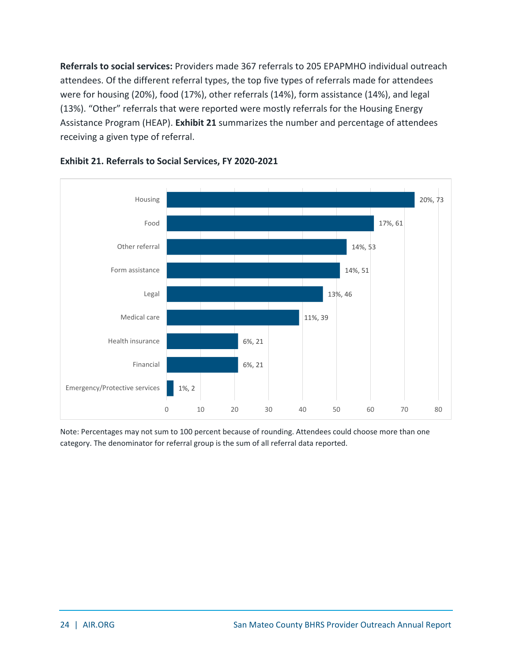**Referrals to social services:** Providers made 367 referrals to 205 EPAPMHO individual outreach attendees. Of the different referral types, the top five types of referrals made for attendees were for housing (20%), food (17%), other referrals (14%), form assistance (14%), and legal (13%). "Other" referrals that were reported were mostly referrals for the Housing Energy Assistance Program (HEAP). **Exhibit 21** summarizes the number and percentage of attendees receiving a given type of referral.

![](_page_29_Figure_1.jpeg)

### <span id="page-29-0"></span>**Exhibit 21. Referrals to Social Services, FY 2020-2021**

Note: Percentages may not sum to 100 percent because of rounding. Attendees could choose more than one category. The denominator for referral group is the sum of all referral data reported.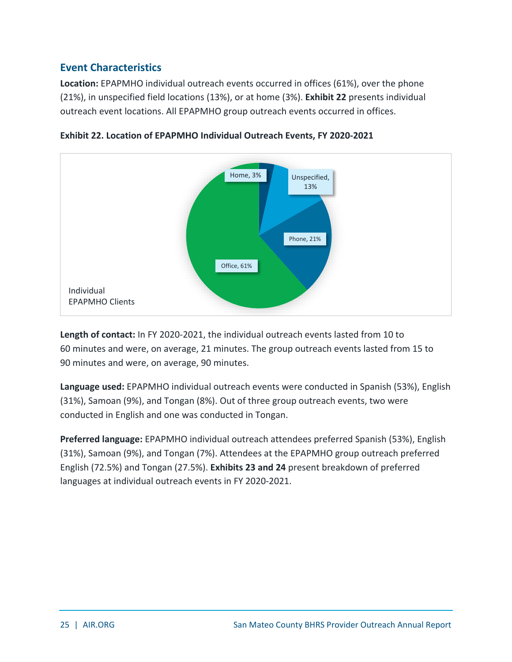### <span id="page-30-0"></span>**Event Characteristics**

**Location:** EPAPMHO individual outreach events occurred in offices (61%), over the phone (21%), in unspecified field locations (13%), or at home (3%). **Exhibit 22** presents individual outreach event locations. All EPAPMHO group outreach events occurred in offices.

![](_page_30_Figure_2.jpeg)

<span id="page-30-1"></span>**Exhibit 22. Location of EPAPMHO Individual Outreach Events, FY 2020-2021**

**Length of contact:** In FY 2020-2021, the individual outreach events lasted from 10 to 60 minutes and were, on average, 21 minutes. The group outreach events lasted from 15 to 90 minutes and were, on average, 90 minutes.

**Language used:** EPAPMHO individual outreach events were conducted in Spanish (53%), English (31%), Samoan (9%), and Tongan (8%). Out of three group outreach events, two were conducted in English and one was conducted in Tongan.

**Preferred language:** EPAPMHO individual outreach attendees preferred Spanish (53%), English (31%), Samoan (9%), and Tongan (7%). Attendees at the EPAPMHO group outreach preferred English (72.5%) and Tongan (27.5%). **Exhibits 23 and 24** present breakdown of preferred languages at individual outreach events in FY 2020-2021.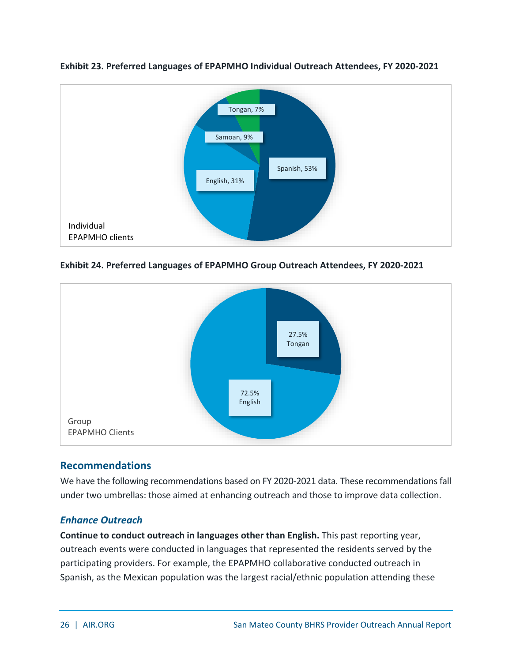![](_page_31_Figure_0.jpeg)

<span id="page-31-1"></span>**Exhibit 23. Preferred Languages of EPAPMHO Individual Outreach Attendees, FY 2020-2021**

<span id="page-31-2"></span>**Exhibit 24. Preferred Languages of EPAPMHO Group Outreach Attendees, FY 2020-2021**

![](_page_31_Figure_3.jpeg)

### <span id="page-31-0"></span>**Recommendations**

We have the following recommendations based on FY 2020-2021 data. These recommendations fall under two umbrellas: those aimed at enhancing outreach and those to improve data collection.

### *Enhance Outreach*

**Continue to conduct outreach in languages other than English.** This past reporting year, outreach events were conducted in languages that represented the residents served by the participating providers. For example, the EPAPMHO collaborative conducted outreach in Spanish, as the Mexican population was the largest racial/ethnic population attending these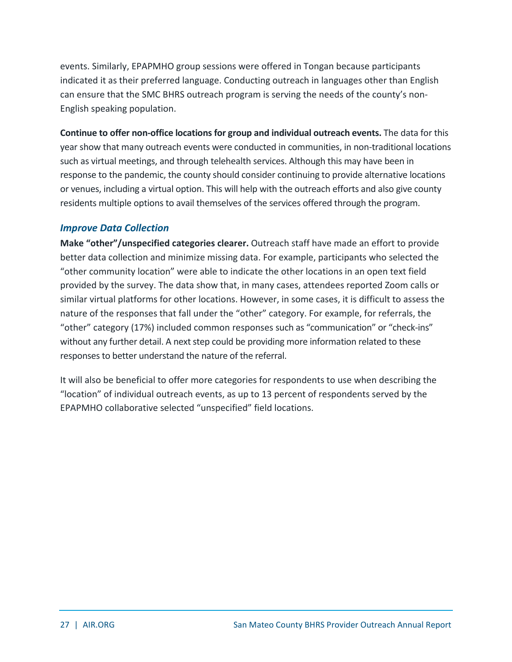events. Similarly, EPAPMHO group sessions were offered in Tongan because participants indicated it as their preferred language. Conducting outreach in languages other than English can ensure that the SMC BHRS outreach program is serving the needs of the county's non-English speaking population.

**Continue to offer non-office locations for group and individual outreach events.** The data for this year show that many outreach events were conducted in communities, in non-traditional locations such as virtual meetings, and through telehealth services. Although this may have been in response to the pandemic, the county should consider continuing to provide alternative locations or venues, including a virtual option. This will help with the outreach efforts and also give county residents multiple options to avail themselves of the services offered through the program.

### *Improve Data Collection*

**Make "other"/unspecified categories clearer.** Outreach staff have made an effort to provide better data collection and minimize missing data. For example, participants who selected the "other community location" were able to indicate the other locations in an open text field provided by the survey. The data show that, in many cases, attendees reported Zoom calls or similar virtual platforms for other locations. However, in some cases, it is difficult to assess the nature of the responses that fall under the "other" category. For example, for referrals, the "other" category (17%) included common responses such as "communication" or "check-ins" without any further detail. A next step could be providing more information related to these responses to better understand the nature of the referral.

It will also be beneficial to offer more categories for respondents to use when describing the "location" of individual outreach events, as up to 13 percent of respondents served by the EPAPMHO collaborative selected "unspecified" field locations.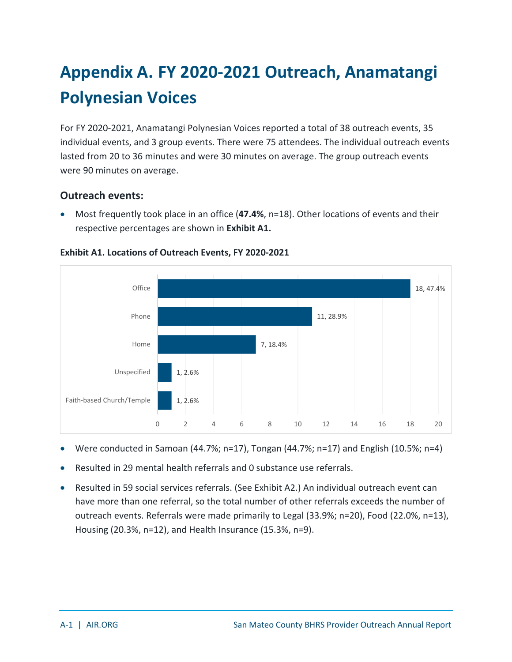## <span id="page-33-0"></span>**Appendix A. FY 2020-2021 Outreach, Anamatangi Polynesian Voices**

For FY 2020-2021, Anamatangi Polynesian Voices reported a total of 38 outreach events, 35 individual events, and 3 group events. There were 75 attendees. The individual outreach events lasted from 20 to 36 minutes and were 30 minutes on average. The group outreach events were 90 minutes on average.

### **Outreach events:**

• Most frequently took place in an office (**47.4%**, n=18). Other locations of events and their respective percentages are shown in **Exhibit A1.**

![](_page_33_Figure_4.jpeg)

<span id="page-33-1"></span>**Exhibit A1. Locations of Outreach Events, FY 2020-2021**

- Were conducted in Samoan (44.7%; n=17), Tongan (44.7%; n=17) and English (10.5%; n=4)
- Resulted in 29 mental health referrals and 0 substance use referrals.
- Resulted in 59 social services referrals. (See Exhibit A2.) An individual outreach event can have more than one referral, so the total number of other referrals exceeds the number of outreach events. Referrals were made primarily to Legal (33.9%; n=20), Food (22.0%, n=13), Housing (20.3%, n=12), and Health Insurance (15.3%, n=9).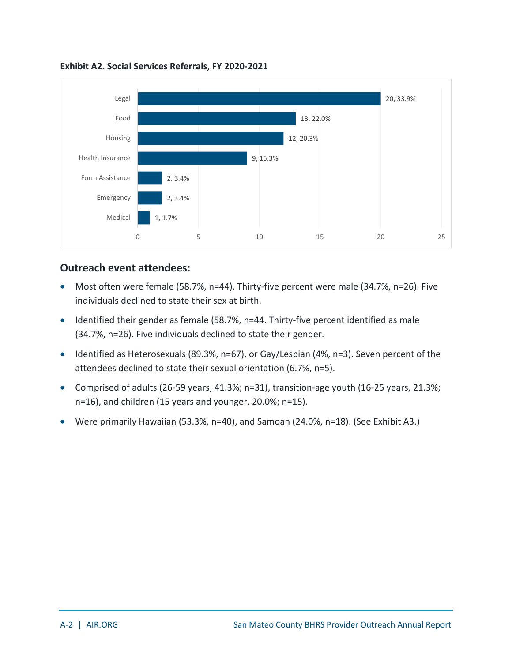![](_page_34_Figure_0.jpeg)

<span id="page-34-0"></span>**Exhibit A2. Social Services Referrals, FY 2020-2021**

### **Outreach event attendees:**

- Most often were female (58.7%, n=44). Thirty-five percent were male (34.7%, n=26). Five individuals declined to state their sex at birth.
- Identified their gender as female (58.7%, n=44. Thirty-five percent identified as male (34.7%, n=26). Five individuals declined to state their gender.
- Identified as Heterosexuals (89.3%, n=67), or Gay/Lesbian (4%, n=3). Seven percent of the attendees declined to state their sexual orientation (6.7%, n=5).
- Comprised of adults (26-59 years, 41.3%; n=31), transition-age youth (16-25 years, 21.3%; n=16), and children (15 years and younger, 20.0%; n=15).
- Were primarily Hawaiian (53.3%, n=40), and Samoan (24.0%, n=18). (See Exhibit A3.)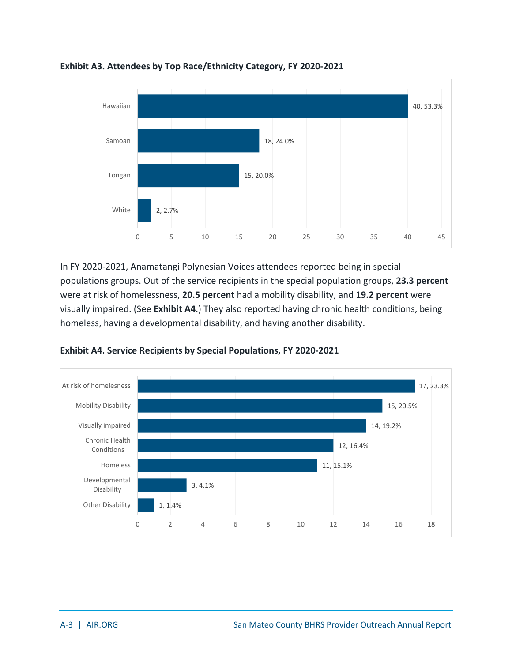![](_page_35_Figure_0.jpeg)

<span id="page-35-0"></span>**Exhibit A3. Attendees by Top Race/Ethnicity Category, FY 2020-2021**

In FY 2020-2021, Anamatangi Polynesian Voices attendees reported being in special populations groups. Out of the service recipients in the special population groups, **23.3 percent** were at risk of homelessness, **20.5 percent** had a mobility disability, and **19.2 percent** were visually impaired. (See **Exhibit A4**.) They also reported having chronic health conditions, being homeless, having a developmental disability, and having another disability.

![](_page_35_Figure_3.jpeg)

<span id="page-35-1"></span>**Exhibit A4. Service Recipients by Special Populations, FY 2020-2021**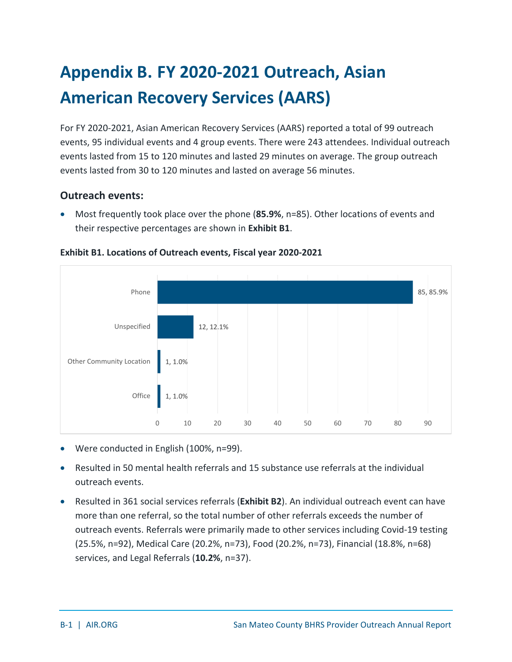## <span id="page-36-0"></span>**Appendix B. FY 2020-2021 Outreach, Asian American Recovery Services (AARS)**

For FY 2020-2021, Asian American Recovery Services (AARS) reported a total of 99 outreach events, 95 individual events and 4 group events. There were 243 attendees. Individual outreach events lasted from 15 to 120 minutes and lasted 29 minutes on average. The group outreach events lasted from 30 to 120 minutes and lasted on average 56 minutes.

### **Outreach events:**

• Most frequently took place over the phone (**85.9%**, n=85). Other locations of events and their respective percentages are shown in **Exhibit B1**.

![](_page_36_Figure_4.jpeg)

<span id="page-36-1"></span>**Exhibit B1. Locations of Outreach events, Fiscal year 2020-2021** 

- Were conducted in English (100%, n=99).
- Resulted in 50 mental health referrals and 15 substance use referrals at the individual outreach events.
- Resulted in 361 social services referrals (**Exhibit B2**). An individual outreach event can have more than one referral, so the total number of other referrals exceeds the number of outreach events. Referrals were primarily made to other services including Covid-19 testing (25.5%, n=92), Medical Care (20.2%, n=73), Food (20.2%, n=73), Financial (18.8%, n=68) services, and Legal Referrals (**10.2%**, n=37).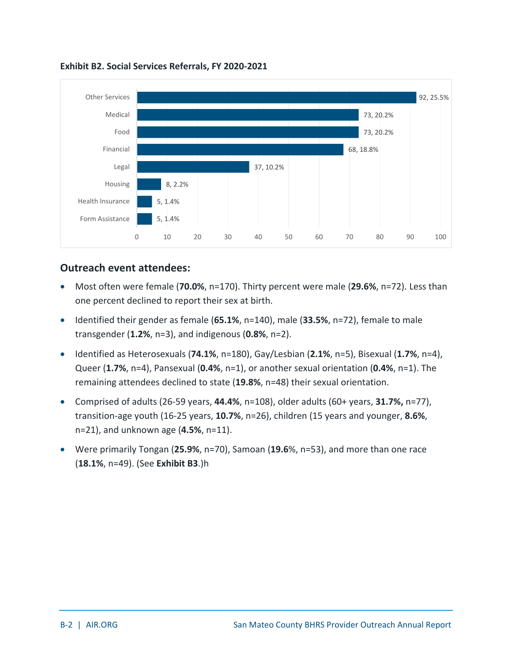![](_page_37_Figure_0.jpeg)

<span id="page-37-0"></span>**Exhibit B2. Social Services Referrals, FY 2020-2021**

### **Outreach event attendees:**

- Most often were female (**70.0%**, n=170). Thirty percent were male (**29.6%**, n=72). Less than one percent declined to report their sex at birth.
- Identified their gender as female (**65.1%**, n=140), male (**33.5%**, n=72), female to male transgender (**1.2%**, n=3), and indigenous (**0.8%**, n=2).
- Identified as Heterosexuals (**74.1%**, n=180), Gay/Lesbian (**2.1%**, n=5), Bisexual (**1.7%**, n=4), Queer (**1.7%**, n=4), Pansexual (**0.4%**, n=1), or another sexual orientation (**0.4%**, n=1). The remaining attendees declined to state (**19.8%**, n=48) their sexual orientation.
- Comprised of adults (26-59 years, **44.4%**, n=108), older adults (60+ years, **31.7%,** n=77), transition-age youth (16-25 years, **10.7%**, n=26), children (15 years and younger, **8.6%**, n=21), and unknown age (**4.5%**, n=11).
- Were primarily Tongan (**25.9%**, n=70), Samoan (**19.6**%, n=53), and more than one race (**18.1%**, n=49). (See **Exhibit B3**.)h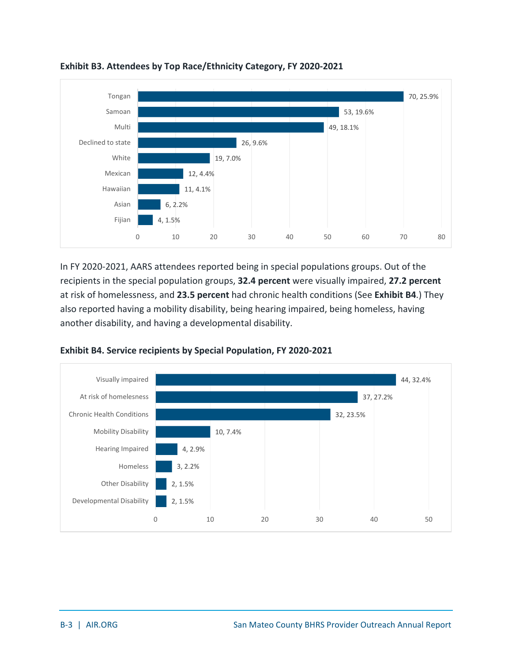![](_page_38_Figure_0.jpeg)

<span id="page-38-0"></span>**Exhibit B3. Attendees by Top Race/Ethnicity Category, FY 2020-2021**

In FY 2020-2021, AARS attendees reported being in special populations groups. Out of the recipients in the special population groups, **32.4 percent** were visually impaired, **27.2 percent** at risk of homelessness, and **23.5 percent** had chronic health conditions (See **Exhibit B4**.) They also reported having a mobility disability, being hearing impaired, being homeless, having another disability, and having a developmental disability.

![](_page_38_Figure_3.jpeg)

<span id="page-38-1"></span>**Exhibit B4. Service recipients by Special Population, FY 2020-2021**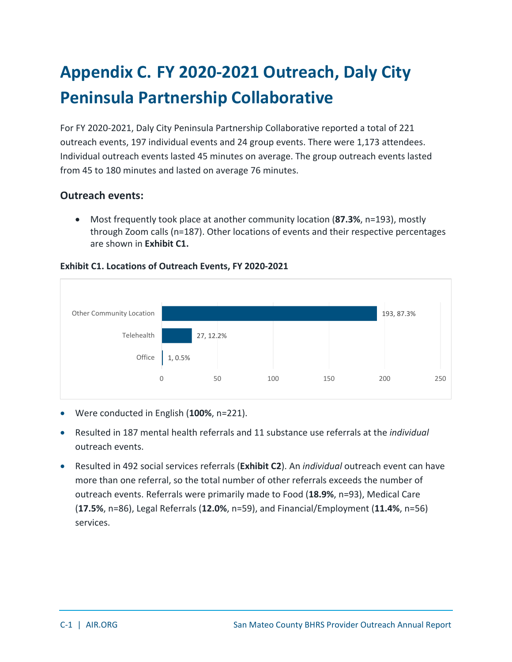## <span id="page-39-0"></span>**Appendix C. FY 2020-2021 Outreach, Daly City Peninsula Partnership Collaborative**

For FY 2020-2021, Daly City Peninsula Partnership Collaborative reported a total of 221 outreach events, 197 individual events and 24 group events. There were 1,173 attendees. Individual outreach events lasted 45 minutes on average. The group outreach events lasted from 45 to 180 minutes and lasted on average 76 minutes.

### **Outreach events:**

• Most frequently took place at another community location (**87.3%**, n=193), mostly through Zoom calls (n=187). Other locations of events and their respective percentages are shown in **Exhibit C1.**

![](_page_39_Figure_4.jpeg)

### <span id="page-39-1"></span>**Exhibit C1. Locations of Outreach Events, FY 2020-2021**

- Were conducted in English (**100%**, n=221).
- Resulted in 187 mental health referrals and 11 substance use referrals at the *individual* outreach events.
- Resulted in 492 social services referrals (**Exhibit C2**). An *individual* outreach event can have more than one referral, so the total number of other referrals exceeds the number of outreach events. Referrals were primarily made to Food (**18.9%**, n=93), Medical Care (**17.5%**, n=86), Legal Referrals (**12.0%**, n=59), and Financial/Employment (**11.4%**, n=56) services.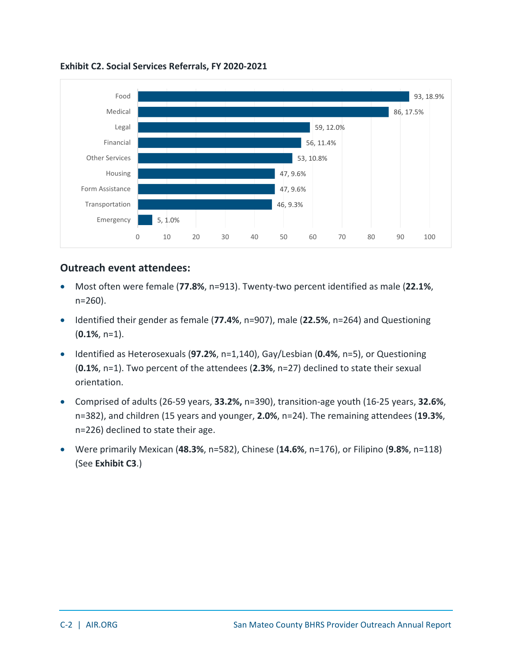![](_page_40_Figure_0.jpeg)

<span id="page-40-0"></span>**Exhibit C2. Social Services Referrals, FY 2020-2021**

### **Outreach event attendees:**

- Most often were female (**77.8%**, n=913). Twenty-two percent identified as male (**22.1%**, n=260).
- Identified their gender as female (**77.4%**, n=907), male (**22.5%**, n=264) and Questioning (**0.1%**, n=1).
- Identified as Heterosexuals (**97.2%**, n=1,140), Gay/Lesbian (**0.4%**, n=5), or Questioning (**0.1%**, n=1). Two percent of the attendees (**2.3%**, n=27) declined to state their sexual orientation.
- Comprised of adults (26-59 years, **33.2%,** n=390), transition-age youth (16-25 years, **32.6%**, n=382), and children (15 years and younger, **2.0%**, n=24). The remaining attendees (**19.3%**, n=226) declined to state their age.
- Were primarily Mexican (**48.3%**, n=582), Chinese (**14.6%**, n=176), or Filipino (**9.8%**, n=118) (See **Exhibit C3**.)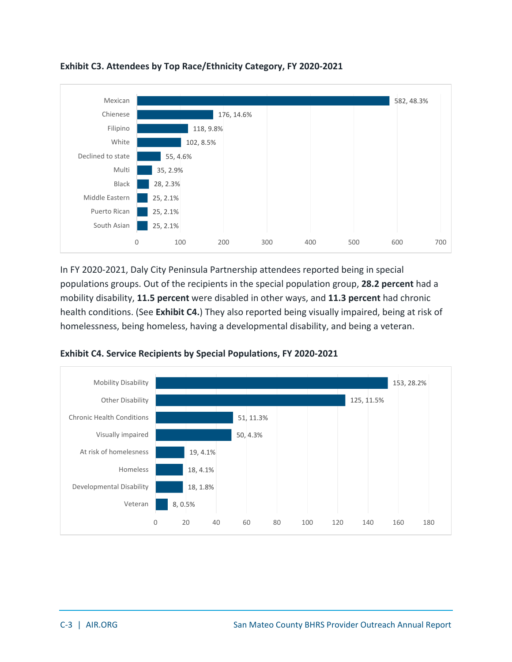![](_page_41_Figure_0.jpeg)

<span id="page-41-0"></span>**Exhibit C3. Attendees by Top Race/Ethnicity Category, FY 2020-2021**

In FY 2020-2021, Daly City Peninsula Partnership attendees reported being in special populations groups. Out of the recipients in the special population group, **28.2 percent** had a mobility disability, **11.5 percent** were disabled in other ways, and **11.3 percent** had chronic health conditions. (See **Exhibit C4.**) They also reported being visually impaired, being at risk of homelessness, being homeless, having a developmental disability, and being a veteran.

![](_page_41_Figure_3.jpeg)

<span id="page-41-1"></span>**Exhibit C4. Service Recipients by Special Populations, FY 2020-2021**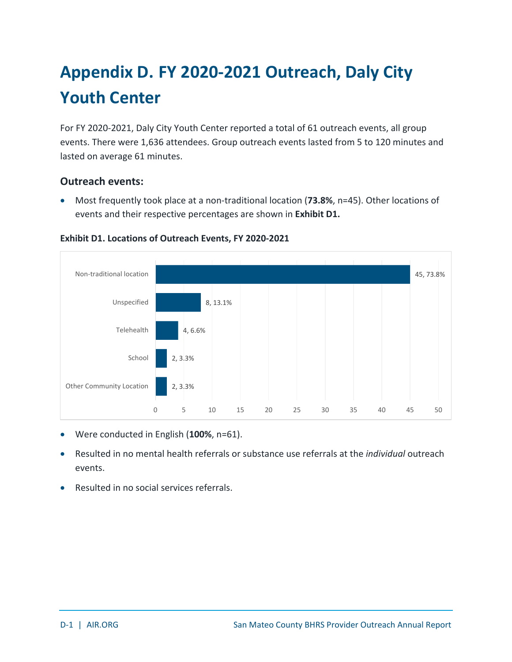## <span id="page-42-0"></span>**Appendix D. FY 2020-2021 Outreach, Daly City Youth Center**

For FY 2020-2021, Daly City Youth Center reported a total of 61 outreach events, all group events. There were 1,636 attendees. Group outreach events lasted from 5 to 120 minutes and lasted on average 61 minutes.

### **Outreach events:**

• Most frequently took place at a non-traditional location (**73.8%**, n=45). Other locations of events and their respective percentages are shown in **Exhibit D1.**

![](_page_42_Figure_4.jpeg)

### <span id="page-42-1"></span>**Exhibit D1. Locations of Outreach Events, FY 2020-2021**

- Were conducted in English (**100%**, n=61).
- Resulted in no mental health referrals or substance use referrals at the *individual* outreach events.
- Resulted in no social services referrals.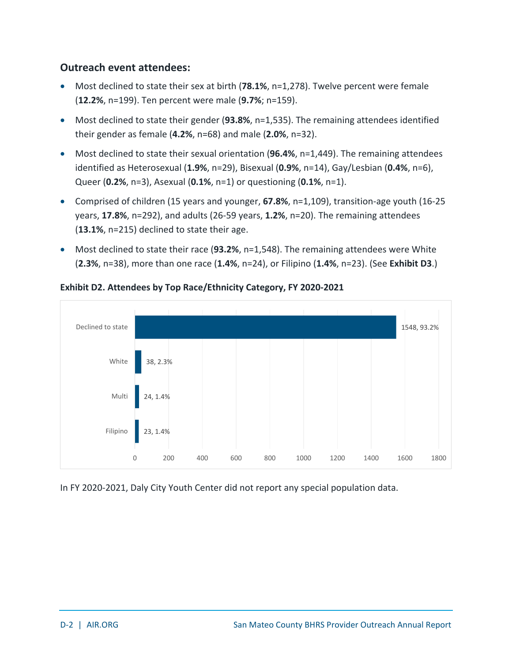### **Outreach event attendees:**

- Most declined to state their sex at birth (**78.1%**, n=1,278). Twelve percent were female (**12.2%**, n=199). Ten percent were male (**9.7%**; n=159).
- Most declined to state their gender (**93.8%**, n=1,535). The remaining attendees identified their gender as female (**4.2%**, n=68) and male (**2.0%**, n=32).
- Most declined to state their sexual orientation (**96.4%**, n=1,449). The remaining attendees identified as Heterosexual (**1.9%**, n=29), Bisexual (**0.9%**, n=14), Gay/Lesbian (**0.4%**, n=6), Queer (**0.2%**, n=3), Asexual (**0.1%**, n=1) or questioning (**0.1%**, n=1).
- Comprised of children (15 years and younger, **67.8%**, n=1,109), transition-age youth (16-25 years, **17.8%**, n=292), and adults (26-59 years, **1.2%**, n=20). The remaining attendees (**13.1%**, n=215) declined to state their age.
- Most declined to state their race (**93.2%**, n=1,548). The remaining attendees were White (**2.3%**, n=38), more than one race (**1.4%**, n=24), or Filipino (**1.4%**, n=23). (See **Exhibit D3**.)

![](_page_43_Figure_6.jpeg)

### <span id="page-43-0"></span>**Exhibit D2. Attendees by Top Race/Ethnicity Category, FY 2020-2021**

In FY 2020-2021, Daly City Youth Center did not report any special population data.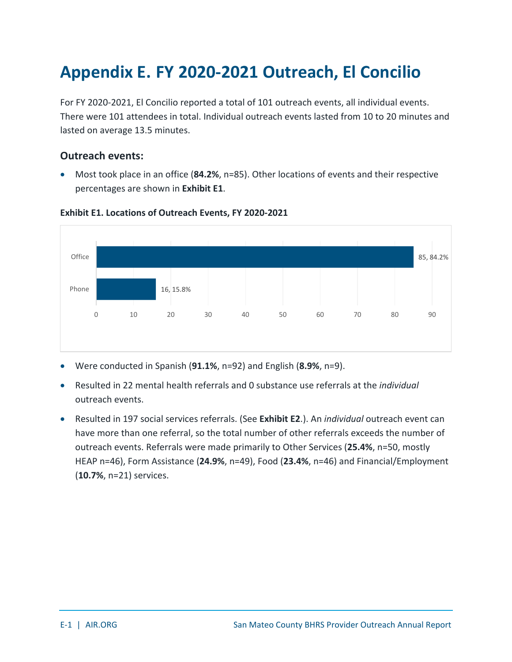## <span id="page-44-0"></span>**Appendix E. FY 2020-2021 Outreach, El Concilio**

For FY 2020-2021, El Concilio reported a total of 101 outreach events, all individual events. There were 101 attendees in total. Individual outreach events lasted from 10 to 20 minutes and lasted on average 13.5 minutes.

### **Outreach events:**

• Most took place in an office (**84.2%**, n=85). Other locations of events and their respective percentages are shown in **Exhibit E1**.

![](_page_44_Figure_4.jpeg)

#### <span id="page-44-1"></span>**Exhibit E1. Locations of Outreach Events, FY 2020-2021**

- Were conducted in Spanish (**91.1%**, n=92) and English (**8.9%**, n=9).
- Resulted in 22 mental health referrals and 0 substance use referrals at the *individual* outreach events.
- Resulted in 197 social services referrals. (See **Exhibit E2**.). An *individual* outreach event can have more than one referral, so the total number of other referrals exceeds the number of outreach events. Referrals were made primarily to Other Services (**25.4%**, n=50, mostly HEAP n=46), Form Assistance (**24.9%**, n=49), Food (**23.4%**, n=46) and Financial/Employment (**10.7%**, n=21) services.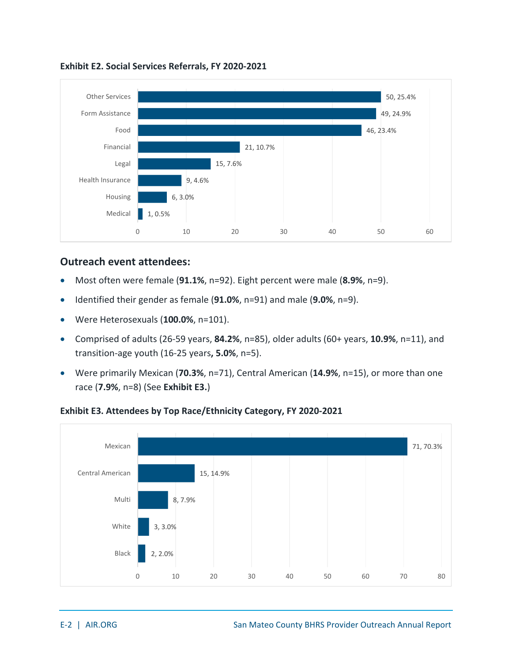![](_page_45_Figure_0.jpeg)

<span id="page-45-0"></span>**Exhibit E2. Social Services Referrals, FY 2020-2021**

### **Outreach event attendees:**

- Most often were female (**91.1%**, n=92). Eight percent were male (**8.9%**, n=9).
- Identified their gender as female (**91.0%**, n=91) and male (**9.0%**, n=9).
- Were Heterosexuals (**100.0%**, n=101).
- Comprised of adults (26-59 years, **84.2%**, n=85), older adults (60+ years, **10.9%**, n=11), and transition-age youth (16-25 years**, 5.0%**, n=5).
- Were primarily Mexican (**70.3%**, n=71), Central American (**14.9%**, n=15), or more than one race (**7.9%**, n=8) (See **Exhibit E3.**)

![](_page_45_Figure_8.jpeg)

### <span id="page-45-1"></span>**Exhibit E3. Attendees by Top Race/Ethnicity Category, FY 2020-2021**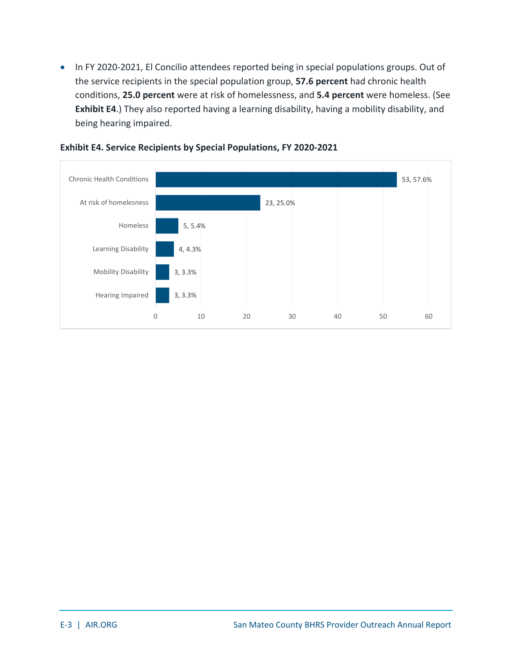• In FY 2020-2021, El Concilio attendees reported being in special populations groups. Out of the service recipients in the special population group, **57.6 percent** had chronic health conditions, **25.0 percent** were at risk of homelessness, and **5.4 percent** were homeless. (See **Exhibit E4**.) They also reported having a learning disability, having a mobility disability, and being hearing impaired.

![](_page_46_Figure_1.jpeg)

#### <span id="page-46-0"></span>**Exhibit E4. Service Recipients by Special Populations, FY 2020-2021**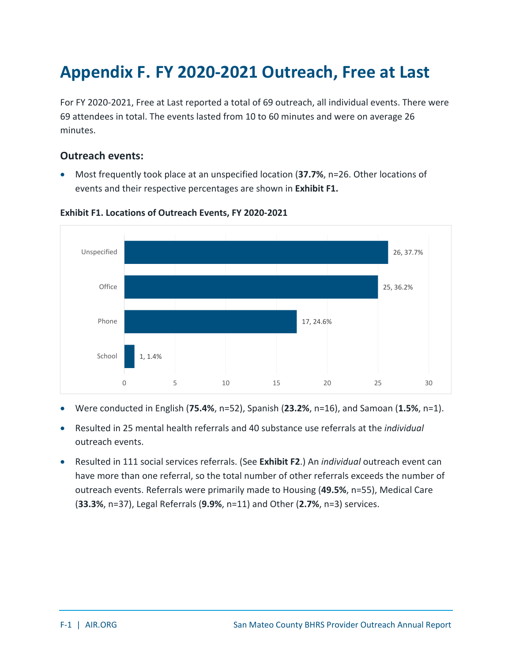## <span id="page-47-0"></span>**Appendix F. FY 2020-2021 Outreach, Free at Last**

For FY 2020-2021, Free at Last reported a total of 69 outreach, all individual events. There were 69 attendees in total. The events lasted from 10 to 60 minutes and were on average 26 minutes.

### **Outreach events:**

• Most frequently took place at an unspecified location (**37.7%**, n=26. Other locations of events and their respective percentages are shown in **Exhibit F1.**

![](_page_47_Figure_4.jpeg)

#### <span id="page-47-1"></span>**Exhibit F1. Locations of Outreach Events, FY 2020-2021**

- Were conducted in English (**75.4%**, n=52), Spanish (**23.2%**, n=16), and Samoan (**1.5%**, n=1).
- Resulted in 25 mental health referrals and 40 substance use referrals at the *individual* outreach events.
- Resulted in 111 social services referrals. (See **Exhibit F2**.) An *individual* outreach event can have more than one referral, so the total number of other referrals exceeds the number of outreach events. Referrals were primarily made to Housing (**49.5%**, n=55), Medical Care (**33.3%**, n=37), Legal Referrals (**9.9%**, n=11) and Other (**2.7%**, n=3) services.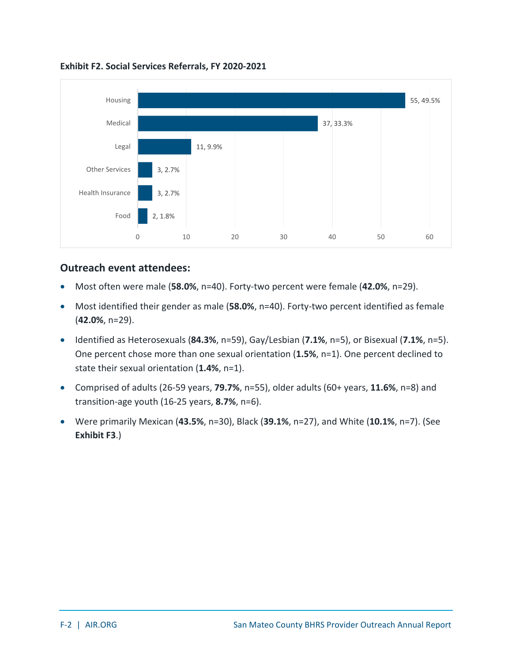![](_page_48_Figure_0.jpeg)

<span id="page-48-0"></span>**Exhibit F2. Social Services Referrals, FY 2020-2021**

### **Outreach event attendees:**

- Most often were male (**58.0%**, n=40). Forty-two percent were female (**42.0%**, n=29).
- Most identified their gender as male (**58.0%**, n=40). Forty-two percent identified as female (**42.0%**, n=29).
- Identified as Heterosexuals (**84.3%**, n=59), Gay/Lesbian (**7.1%**, n=5), or Bisexual (**7.1%**, n=5). One percent chose more than one sexual orientation (**1.5%**, n=1). One percent declined to state their sexual orientation (**1.4%**, n=1).
- Comprised of adults (26-59 years, **79.7%**, n=55), older adults (60+ years, **11.6%**, n=8) and transition-age youth (16-25 years, **8.7%**, n=6).
- Were primarily Mexican (**43.5%**, n=30), Black (**39.1%**, n=27), and White (**10.1%**, n=7). (See **Exhibit F3**.)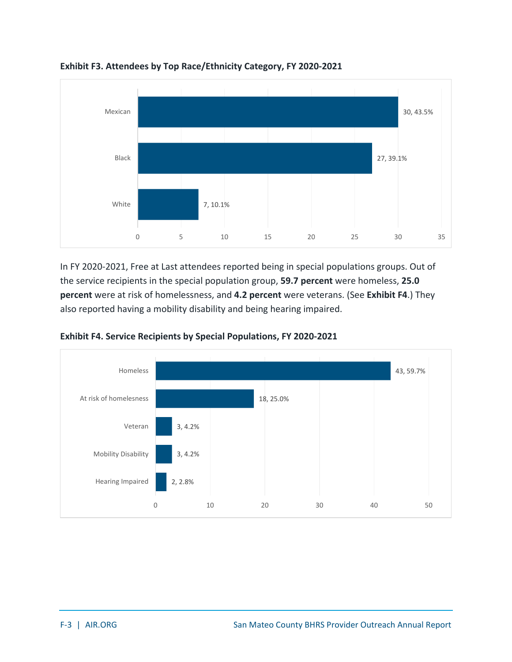![](_page_49_Figure_0.jpeg)

<span id="page-49-0"></span>**Exhibit F3. Attendees by Top Race/Ethnicity Category, FY 2020-2021**

In FY 2020-2021, Free at Last attendees reported being in special populations groups. Out of the service recipients in the special population group, **59.7 percent** were homeless, **25.0 percent** were at risk of homelessness, and **4.2 percent** were veterans. (See **Exhibit F4**.) They also reported having a mobility disability and being hearing impaired.

![](_page_49_Figure_3.jpeg)

<span id="page-49-1"></span>**Exhibit F4. Service Recipients by Special Populations, FY 2020-2021**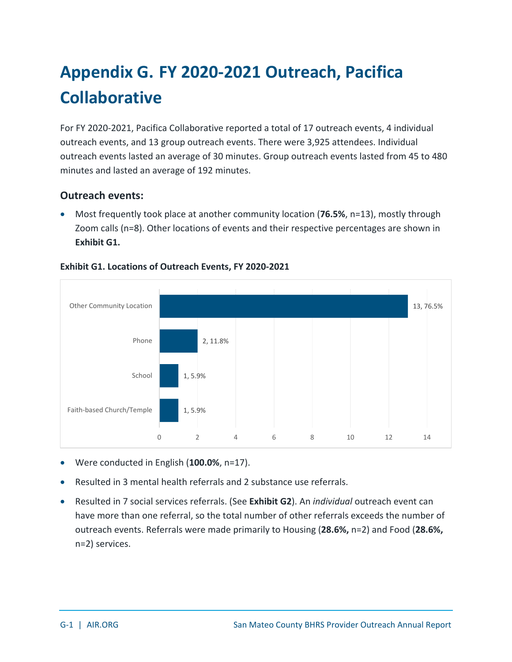## <span id="page-50-0"></span>**Appendix G. FY 2020-2021 Outreach, Pacifica Collaborative**

For FY 2020-2021, Pacifica Collaborative reported a total of 17 outreach events, 4 individual outreach events, and 13 group outreach events. There were 3,925 attendees. Individual outreach events lasted an average of 30 minutes. Group outreach events lasted from 45 to 480 minutes and lasted an average of 192 minutes.

### **Outreach events:**

• Most frequently took place at another community location (**76.5%**, n=13), mostly through Zoom calls (n=8). Other locations of events and their respective percentages are shown in **Exhibit G1.**

![](_page_50_Figure_4.jpeg)

### <span id="page-50-1"></span>**Exhibit G1. Locations of Outreach Events, FY 2020-2021**

- Were conducted in English (**100.0%**, n=17).
- Resulted in 3 mental health referrals and 2 substance use referrals.
- Resulted in 7 social services referrals. (See **Exhibit G2**). An *individual* outreach event can have more than one referral, so the total number of other referrals exceeds the number of outreach events. Referrals were made primarily to Housing (**28.6%,** n=2) and Food (**28.6%,** n=2) services.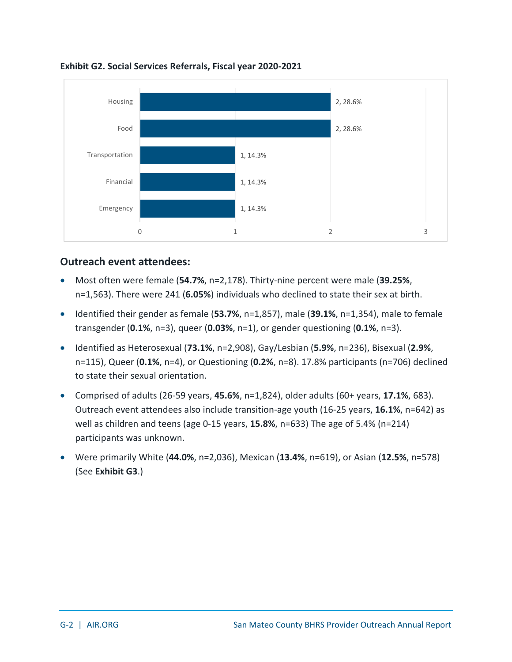![](_page_51_Figure_0.jpeg)

<span id="page-51-0"></span>**Exhibit G2. Social Services Referrals, Fiscal year 2020-2021**

### **Outreach event attendees:**

- Most often were female (**54.7%**, n=2,178). Thirty-nine percent were male (**39.25%**, n=1,563). There were 241 (**6.05%**) individuals who declined to state their sex at birth.
- Identified their gender as female (**53.7%**, n=1,857), male (**39.1%**, n=1,354), male to female transgender (**0.1%**, n=3), queer (**0.03%**, n=1), or gender questioning (**0.1%**, n=3).
- Identified as Heterosexual (**73.1%**, n=2,908), Gay/Lesbian (**5.9%**, n=236), Bisexual (**2.9%**, n=115), Queer (**0.1%**, n=4), or Questioning (**0.2%**, n=8). 17.8% participants (n=706) declined to state their sexual orientation.
- Comprised of adults (26-59 years, **45.6%**, n=1,824), older adults (60+ years, **17.1%**, 683). Outreach event attendees also include transition-age youth (16-25 years, **16.1%**, n=642) as well as children and teens (age 0-15 years, **15.8%**, n=633) The age of 5.4% (n=214) participants was unknown.
- Were primarily White (**44.0%**, n=2,036), Mexican (**13.4%**, n=619), or Asian (**12.5%**, n=578) (See **Exhibit G3**.)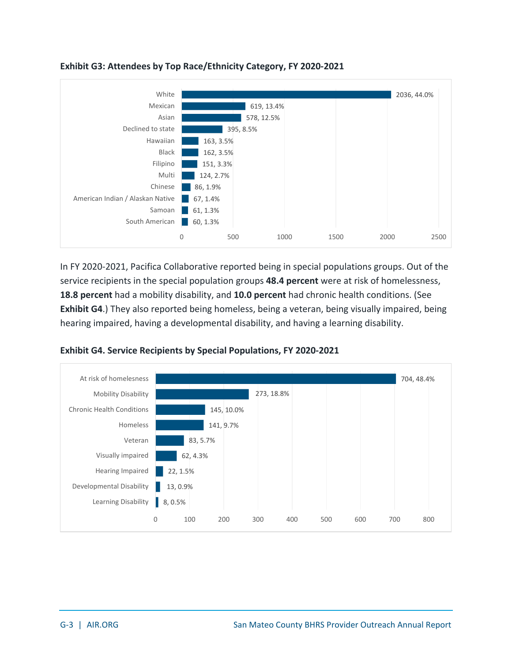![](_page_52_Figure_0.jpeg)

### <span id="page-52-0"></span>**Exhibit G3: Attendees by Top Race/Ethnicity Category, FY 2020-2021**

In FY 2020-2021, Pacifica Collaborative reported being in special populations groups. Out of the service recipients in the special population groups **48.4 percent** were at risk of homelessness, **18.8 percent** had a mobility disability, and **10.0 percent** had chronic health conditions. (See **Exhibit G4**.) They also reported being homeless, being a veteran, being visually impaired, being hearing impaired, having a developmental disability, and having a learning disability.

![](_page_52_Figure_3.jpeg)

<span id="page-52-1"></span>**Exhibit G4. Service Recipients by Special Populations, FY 2020-2021**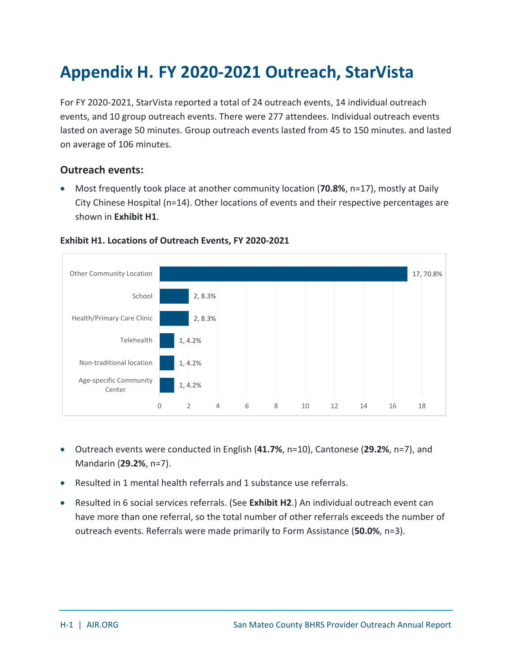## <span id="page-53-0"></span>**Appendix H. FY 2020-2021 Outreach, StarVista**

For FY 2020-2021, StarVista reported a total of 24 outreach events, 14 individual outreach events, and 10 group outreach events. There were 277 attendees. Individual outreach events lasted on average 50 minutes. Group outreach events lasted from 45 to 150 minutes. and lasted on average of 106 minutes.

### **Outreach events:**

• Most frequently took place at another community location (**70.8%**, n=17), mostly at Daily City Chinese Hospital (n=14). Other locations of events and their respective percentages are shown in **Exhibit H1**.

![](_page_53_Figure_4.jpeg)

#### <span id="page-53-1"></span>**Exhibit H1. Locations of Outreach Events, FY 2020-2021**

- Outreach events were conducted in English (**41.7%**, n=10), Cantonese (**29.2%**, n=7), and Mandarin (**29.2%**, n=7).
- Resulted in 1 mental health referrals and 1 substance use referrals.
- Resulted in 6 social services referrals. (See **Exhibit H2**.) An individual outreach event can have more than one referral, so the total number of other referrals exceeds the number of outreach events. Referrals were made primarily to Form Assistance (**50.0%**, n=3).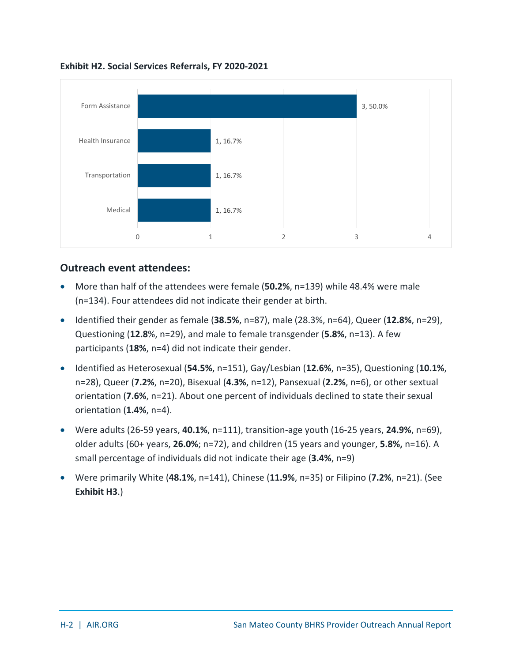![](_page_54_Figure_0.jpeg)

<span id="page-54-0"></span>**Exhibit H2. Social Services Referrals, FY 2020-2021**

### **Outreach event attendees:**

- More than half of the attendees were female (**50.2%**, n=139) while 48.4% were male (n=134). Four attendees did not indicate their gender at birth.
- Identified their gender as female (**38.5%**, n=87), male (28.3%, n=64), Queer (**12.8%**, n=29), Questioning (**12.8**%, n=29), and male to female transgender (**5.8%**, n=13). A few participants (**18%**, n=4) did not indicate their gender.
- Identified as Heterosexual (**54.5%**, n=151), Gay/Lesbian (**12.6%**, n=35), Questioning (**10.1%**, n=28), Queer (**7.2%**, n=20), Bisexual (**4.3%**, n=12), Pansexual (**2.2%**, n=6), or other sextual orientation (**7.6%**, n=21). About one percent of individuals declined to state their sexual orientation (**1.4%**, n=4).
- Were adults (26-59 years, **40.1%**, n=111), transition-age youth (16-25 years, **24.9%**, n=69), older adults (60+ years, **26.0%**; n=72), and children (15 years and younger, **5.8%,** n=16). A small percentage of individuals did not indicate their age (**3.4%**, n=9)
- Were primarily White (**48.1%**, n=141), Chinese (**11.9%**, n=35) or Filipino (**7.2%**, n=21). (See **Exhibit H3**.)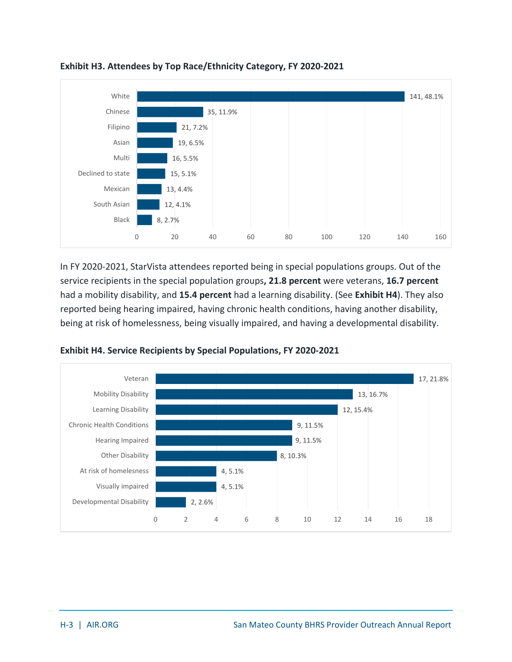![](_page_55_Figure_0.jpeg)

<span id="page-55-0"></span>**Exhibit H3. Attendees by Top Race/Ethnicity Category, FY 2020-2021**

In FY 2020-2021, StarVista attendees reported being in special populations groups. Out of the service recipients in the special population groups**, 21.8 percent** were veterans, **16.7 percent** had a mobility disability, and **15.4 percent** had a learning disability. (See **Exhibit H4**). They also reported being hearing impaired, having chronic health conditions, having another disability, being at risk of homelessness, being visually impaired, and having a developmental disability.

![](_page_55_Figure_3.jpeg)

<span id="page-55-1"></span>**Exhibit H4. Service Recipients by Special Populations, FY 2020-2021**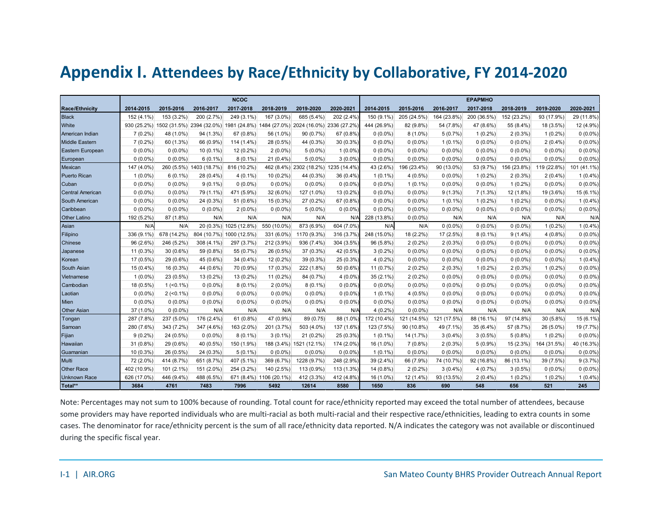### **Appendix I. Attendees by Race/Ethnicity by Collaborative, FY 2014-2020**

<span id="page-56-0"></span>

|                         |             |              |                                        | <b>NCOC</b>              |                         |                                        |            |             |             |             | <b>EPAPMHO</b> |             |             |             |
|-------------------------|-------------|--------------|----------------------------------------|--------------------------|-------------------------|----------------------------------------|------------|-------------|-------------|-------------|----------------|-------------|-------------|-------------|
| Race/Ethnicity          | 2014-2015   | 2015-2016    | 2016-2017                              | 2017-2018                | 2018-2019               | 2019-2020                              | 2020-2021  | 2014-2015   | 2015-2016   | 2016-2017   | 2017-2018      | 2018-2019   | 2019-2020   | 2020-2021   |
| Black                   | 152 (4.1%)  | 153 (3.2%)   | 200 (2.7%)                             | 249 (3.1%)               | 167 (3.0%)              | 685 (5.4%)                             | 202 (2.4%) | 150 (9.1%)  | 205 (24.5%) | 164 (23.8%) | 200 (36.5%)    | 152 (23.2%) | 93 (17.9%)  | 29 (11.8%)  |
| White                   | 930 (25.2%) |              | 1502 (31.5%) 2394 (32.0%) 1981 (24.8%) |                          |                         | 1484 (27.0%) 2024 (16.0%) 2336 (27.2%) |            | 444 (26.9%) | 82 (9.8%)   | 54 (7.8%)   | 47 (8.6%)      | 55 (8.4%)   | 18 (3.5%)   | 12 (4.9%)   |
| American Indian         | $7(0.2\%)$  | 48 (1.0%)    | 94 (1.3%)                              | 67 (0.8%)                | 56 (1.0%)               | 90 (0.7%)                              | 67 (0.8%)  | $0(0.0\%)$  | $8(1.0\%)$  | 5(0.7%)     | $1(0.2\%)$     | $2(0.3\%)$  | $1(0.2\%)$  | $0(0.0\%)$  |
| Middle Eastern          | $7(0.2\%)$  | 60 (1.3%)    | 66 (0.9%)                              | 114 (1.4%)               | 28 (0.5%)               | 44 (0.3%)                              | 30 (0.3%)  | $0(0.0\%)$  | $0(0.0\%)$  | $1(0.1\%)$  | $0(0.0\%)$     | $0(0.0\%)$  | $2(0.4\%)$  | $0(0.0\%)$  |
| <b>Eastern European</b> | $0(0.0\%)$  | $0(0.0\%)$   | $10(0.1\%)$                            | 12 (0.2%)                | $2(0.0\%)$              | $5(0.0\%)$                             | $1(0.0\%)$ | $0(0.0\%)$  | $0(0.0\%)$  | $0(0.0\%)$  | $0(0.0\%)$     | $0(0.0\%)$  | $0(0.0\%)$  | $0(0.0\%)$  |
| European                | $0(0.0\%)$  | $0(0.0\%)$   | $6(0.1\%)$                             | $8(0.1\%)$               | $21(0.4\%)$             | $5(0.0\%)$                             | $3(0.0\%)$ | $0(0.0\%)$  | $0(0.0\%)$  | $0(0.0\%)$  | $0(0.0\%)$     | $0(0.0\%)$  | $0(0.0\%)$  | $0(0.0\%)$  |
| Mexican                 | 147 (4.0%)  |              | 260 (5.5%) 1403 (18.7%)                | 816 (10.2%)              |                         | 462 (8.4%) 2302 (18.2%) 1235 (14.4%)   |            | 43 (2.6%)   | 196 (23.4%) | 90 (13.0%)  | 53 (9.7%)      | 156 (23.8%) | 119 (22.8%) | 101 (41.1%) |
| Puerto Rican            | $1(0.0\%)$  | $6(0.1\%)$   | 28 (0.4%)                              | $4(0.1\%)$               | 10 (0.2%)               | 44 (0.3%)                              | 36 (0.4%)  | $1(0.1\%)$  | $4(0.5\%)$  | $0(0.0\%)$  | $1(0.2\%)$     | $2(0.3\%)$  | $2(0.4\%)$  | $1(0.4\%)$  |
| Cuban                   | $0(0.0\%)$  | $0(0.0\%)$   | $9(0.1\%)$                             | $0(0.0\%)$               | $0(0.0\%)$              | $0(0.0\%)$                             | $0(0.0\%)$ | $0(0.0\%)$  | $1(0.1\%)$  | $0(0.0\%)$  | $0(0.0\%)$     | $1(0.2\%)$  | $0(0.0\%)$  | $0(0.0\%)$  |
| <b>Central American</b> | $0(0.0\%)$  | $0(0.0\%)$   | 79 (1.1%)                              | 471 (5.9%)               | 32 (6.0%)               | 127 (1.0%)                             | 13 (0.2%)  | $0(0.0\%)$  | $0(0.0\%)$  | $9(1.3\%)$  | 7(1.3%)        | 12 (1.8%)   | 19 (3.6%)   | 15 (6.1%)   |
| South American          | $0(0.0\%)$  | $0(0.0\%)$   | 24 (0.3%)                              | 51 (0.6%)                | 15 (0.3%)               | 27 (0.2%)                              | 67 (0.8%)  | $0(0.0\%)$  | $0(0.0\%)$  | $1(0.1\%)$  | $1(0.2\%)$     | $1(0.2\%)$  | $0(0.0\%)$  | $1(0.4\%)$  |
| Caribbean               | $0(0.0\%)$  | $0(0.0\%)$   | $0(0.0\%)$                             | $2(0.0\%)$               | $0(0.0\%)$              | $5(0.0\%)$                             | $0(0.0\%)$ | $0(0.0\%)$  | $0(0.0\%)$  | $0(0.0\%)$  | $0(0.0\%)$     | $0(0.0\%)$  | $0(0.0\%)$  | $0(0.0\%)$  |
| Other Latino            | 192 (5.2%)  | 87 (1.8%)    | N/A                                    | N/A                      | N/A                     | N/A                                    | N/A        | 228 (13.8%) | $0(0.0\%)$  | N/A         | N/A            | N/A         | N/A         | N/A         |
| Asian                   | N/A         | N/A          |                                        | 20 (0.3%) 1025 (12.8%)   | 550 (10.0%)             | 873 (6.9%)                             | 604 (7.0%) | N/A         | N/A         | $0(0.0\%)$  | $0(0.0\%)$     | $0(0.0\%)$  | $1(0.2\%)$  | $1(0.4\%)$  |
| Filipino                | 336 (9.1%)  | 678 (14.2%)  |                                        | 804 (10.7%) 1000 (12.5%) | 331 (6.0%)              | 1170 (9.3%)                            | 316 (3.7%) | 248 (15.0%) | 18 (2.2%)   | 17(2.5%)    | $8(0.1\%)$     | $9(1.4\%)$  | $4(0.8\%)$  | $0(0.0\%)$  |
| Chinese                 | 96 (2.6%)   | 246 (5.2%)   | 308 (4.1%)                             | 297 (3.7%)               | 212 (3.9%)              | 936 (7.4%)                             | 304 (3.5%) | 96 (5.8%)   | $2(0.2\%)$  | $2(0.3\%)$  | $0(0.0\%)$     | $0(0.0\%)$  | $0(0.0\%)$  | $0(0.0\%)$  |
| Japanese                | 11 (0.3%)   | $30(0.6\%)$  | 59 (0.8%)                              | 55 (0.7%)                | 26 (0.5%)               | 37 (0.3%)                              | 42 (0.5%)  | $3(0.2\%)$  | $0(0.0\%)$  | $0(0.0\%)$  | $0(0.0\%)$     | $0(0.0\%)$  | $0(0.0\%)$  | $0(0.0\%)$  |
| Korean                  | 17 (0.5%)   | 29 (0.6%)    | 45 (0.6%)                              | 34 (0.4%)                | 12 (0.2%)               | 39 (0.3%)                              | 25 (0.3%)  | $4(0.2\%)$  | $0(0.0\%)$  | $0(0.0\%)$  | $0(0.0\%)$     | $0(0.0\%)$  | $0(0.0\%)$  | $1(0.4\%)$  |
| South Asian             | 15 (0.4%)   | 16 (0.3%)    | 44 (0.6%)                              | 70 (0.9%)                | 17 (0.3%)               | 222 (1.8%)                             | 50 (0.6%)  | 11 (0.7%)   | $2(0.2\%)$  | $2(0.3\%)$  | $1(0.2\%)$     | $2(0.3\%)$  | $1(0.2\%)$  | $0(0.0\%)$  |
| Vietnamese              | $1(0.0\%)$  | 23 (0.5%)    | 13 (0.2%)                              | 13 (0.2%)                | 11 (0.2%)               | 84 (0.7%)                              | 4 (0.0%)   | 35 (2.1%)   | $2(0.2\%)$  | $0(0.0\%)$  | $0(0.0\%)$     | $0(0.0\%)$  | $0(0.0\%)$  | $0(0.0\%)$  |
| Cambodian               | 18 (0.5%)   | $1$ (<0.1%)  | $0(0.0\%)$                             | $8(0.1\%)$               | $2(0.0\%)$              | $8(0.1\%)$                             | $0(0.0\%)$ | $0(0.0\%)$  | $0(0.0\%)$  | $0(0.0\%)$  | $0(0.0\%)$     | $0(0.0\%)$  | $0(0.0\%)$  | $0(0.0\%)$  |
| Laotian                 | $0(0.0\%)$  | $2 (-0.1\%)$ | $0(0.0\%)$                             | $0(0.0\%)$               | $0(0.0\%)$              | $0(0.0\%)$                             | $0(0.0\%)$ | $1(0.1\%)$  | $4(0.5\%)$  | $0(0.0\%)$  | $0(0.0\%)$     | $0(0.0\%)$  | $0(0.0\%)$  | $0(0.0\%)$  |
| Mien                    | $0(0.0\%)$  | $0(0.0\%)$   | $0(0.0\%)$                             | $0(0.0\%)$               | $0(0.0\%)$              | $0(0.0\%)$                             | $0(0.0\%)$ | $0(0.0\%)$  | $0(0.0\%)$  | $0(0.0\%)$  | $0(0.0\%)$     | $0(0.0\%)$  | $0(0.0\%)$  | $0(0.0\%)$  |
| Other Asian             | 37 (1.0%)   | $0(0.0\%)$   | N/A                                    | N/A                      | N/A                     | N/A                                    | N/A        | $4(0.2\%)$  | $0(0.0\%)$  | N/A         | N/A            | N/A         | N/A         | N/A         |
| Tongan                  | 287 (7.8%)  | 237 (5.0%)   | 176 (2.4%)                             | 61 (0.8%)                | 47 (0.9%)               | 89 (0.75)                              | 88 (1.0%)  | 172 (10.4%) | 121 (14.5%) | 121 (17.5%) | 88 (16.1%)     | 97 (14.8%)  | 30 (5.8%)   | 15 (6.1%)   |
| Samoan                  | 280 (7.6%)  | 343 (7.2%)   | 347 (4.6%)                             | 163 (2.0%)               | 201 (3.7%)              | 503 (4.0%)                             | 137 (1.6%) | 123 (7.5%)  | 90 (10.8%)  | 49 (7.1%)   | 35 (6.4%)      | 57 (8.7%)   | 26 (5.0%)   | 19 (7.7%)   |
| Fijian                  | $9(0.2\%)$  | 24 (0.5%)    | $0(0.0\%)$                             | $8(0.1\%)$               | $3(0.1\%)$              | 21 (0.2%)                              | 25 (0.3%)  | $1(0.1\%)$  | 14 (1.7%)   | $3(0.4\%)$  | $3(0.5\%)$     | $5(0.8\%)$  | $1(0.2\%)$  | $0(0.0\%)$  |
| Hawaiian                | 31 (0.8%)   | 29 (0.6%)    | 40 (0.5%)                              | 150 (1.9%)               |                         | 188 (3.4%) 1521 (12.1%)                | 174 (2.0%) | 16 (1.0%)   | $7(0.8\%)$  | $2(0.3\%)$  | $5(0.9\%)$     | 15 (2.3%)   | 164 (31.5%) | 40 (16.3%)  |
| Guamanian               | 10 (0.3%)   | 26 (0.5%)    | 24 (0.3%)                              | $5(0.1\%)$               | $0(0.0\%)$              | $0(0.0\%)$                             | $0(0.0\%)$ | $1(0.1\%)$  | $0(0.0\%)$  | $0(0.0\%)$  | $0(0.0\%)$     | $0(0.0\%)$  | $0(0.0\%)$  | $0(0.0\%)$  |
| <b>Multi</b>            | 72 (2.0%)   | 414 (8.7%)   | 651 (8.7%)                             | 407 (5.1%)               | 369 (6.7%)              | 1228 (9.7%)                            | 248 (2.9%) | 39 (2.4%)   | 66 (7.9%)   | 74 (10.7%)  | 92 (16.8%)     | 86 (13.1%)  | 39 (7.5%)   | $9(3.7\%)$  |
| Other Race              | 402 (10.9%) | 101 (2.1%)   | 151 (2.0%)                             | 254 (3.2%)               | 140 (2.5%)              | 113 (0.9%)                             | 113 (1.3%) | 14 (0.8%)   | $2(0.2\%)$  | $3(0.4\%)$  | 4(0.7%)        | $3(0.5\%)$  | $0(0.0\%)$  | $0(0.0\%)$  |
| <b>Unknown Race</b>     | 626 (17.0%) | 446 (9.4%)   | 488 (6.5%)                             |                          | 671 (8.4%) 1106 (20.1%) | 412 (3.3%)                             | 412 (4.8%) | 16 (1.0%)   | 12 (1.4%)   | 93 (13.5%)  | $2(0.4\%)$     | $1(0.2\%)$  | $1(0.2\%)$  | $1(0.4\%)$  |
| Total**                 | 3684        | 4761         | 7483                                   | 7996                     | 5492                    | 12614                                  | 8580       | 1650        | 836         | 690         | 548            | 656         | 521         | 245         |

Note: Percentages may not sum to 100% because of rounding. Total count for race/ethnicity reported may exceed the total number of attendees, because some providers may have reported individuals who are multi-racial as both multi-racial and their respective race/ethnicities, leading to extra counts in some cases. The denominator for race/ethnicity percent is the sum of all race/ethnicity data reported. N/A indicates the category was not available or discontinued during the specific fiscal year.